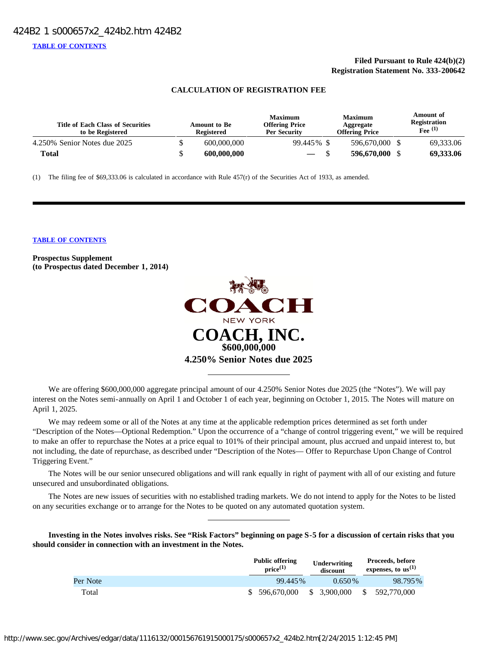# **Filed Pursuant to Rule 424(b)(2) Registration Statement No. 333-200642**

# **CALCULATION OF REGISTRATION FEE**

| <b>Title of Each Class of Securities</b><br>to be Registered | <b>Amount to Be</b><br><b>Registered</b> | <b>Maximum</b><br><b>Offering Price</b><br><b>Per Security</b> | <b>Maximum</b><br>Aggregate<br><b>Offering Price</b> | Amount of<br>Registration<br>$Fee$ (1) |
|--------------------------------------------------------------|------------------------------------------|----------------------------------------------------------------|------------------------------------------------------|----------------------------------------|
| 4.250% Senior Notes due 2025                                 | 600,000,000                              | 99.445% \$                                                     | 596,670,000                                          | 69,333.06                              |
| Total                                                        | 600,000,000                              | $\overline{\phantom{a}}$                                       | 596,670,000                                          | 69,333.06                              |

(1) The filing fee of \$69,333.06 is calculated in accordance with Rule 457(r) of the Securities Act of 1933, as amended.

#### **[TABLE OF CONTENTS](#page-35-0)**

**Prospectus Supplement (to Prospectus dated December 1, 2014)**



We are offering \$600,000,000 aggregate principal amount of our 4.250% Senior Notes due 2025 (the "Notes"). We will pay interest on the Notes semi-annually on April 1 and October 1 of each year, beginning on October 1, 2015. The Notes will mature on April 1, 2025.

We may redeem some or all of the Notes at any time at the applicable redemption prices determined as set forth under "Description of the Notes—Optional Redemption." Upon the occurrence of a "change of control triggering event," we will be required to make an offer to repurchase the Notes at a price equal to 101% of their principal amount, plus accrued and unpaid interest to, but not including, the date of repurchase, as described under "Description of the Notes— Offer to Repurchase Upon Change of Control Triggering Event."

The Notes will be our senior unsecured obligations and will rank equally in right of payment with all of our existing and future unsecured and unsubordinated obligations.

The Notes are new issues of securities with no established trading markets. We do not intend to apply for the Notes to be listed on any securities exchange or to arrange for the Notes to be quoted on any automated quotation system.

**Investing in the Notes involves risks. See "Risk Factors" beginning on page S-5 for a discussion of certain risks that you should consider in connection with an investment in the Notes.**

|          | <b>Public offering</b><br>$price^{(1)}$ | Underwriting<br>discount |              | Proceeds, before<br>expenses, to $us^{(1)}$ |
|----------|-----------------------------------------|--------------------------|--------------|---------------------------------------------|
| Per Note | 99.445%                                 | $0.650\%$                |              | 98.795%                                     |
| Total    | \$ 596,670,000                          | \$3,900,000              | <sup>S</sup> | 592,770,000                                 |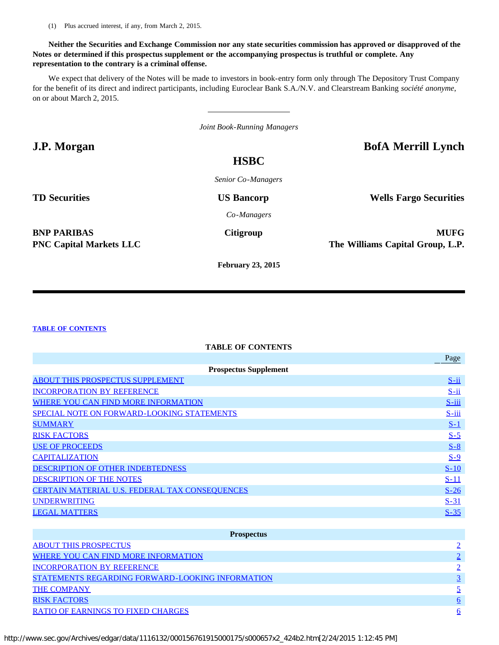(1) Plus accrued interest, if any, from March 2, 2015.

# **Neither the Securities and Exchange Commission nor any state securities commission has approved or disapproved of the Notes or determined if this prospectus supplement or the accompanying prospectus is truthful or complete. Any representation to the contrary is a criminal offense.**

We expect that delivery of the Notes will be made to investors in book-entry form only through The Depository Trust Company for the benefit of its direct and indirect participants, including Euroclear Bank S.A./N.V. and Clearstream Banking *société anonyme*, on or about March 2, 2015.

*Joint Book-Running Managers*

**J.P. Morgan BofA Merrill Lynch**

# **HSBC**

*Senior Co-Managers*

**TD Securities US Bancorp Wells Fargo Securities** 

*Co-Managers*

**BNP PARIBAS Citigroup MUFG** 

**PNC Capital Markets LLC The Williams Capital Group, L.P.**

**February 23, 2015**

# **[TABLE OF CONTENTS](#page-35-0)**

# **TABLE OF CONTENTS**

|                                                       | Page       |
|-------------------------------------------------------|------------|
| <b>Prospectus Supplement</b>                          |            |
| <b>ABOUT THIS PROSPECTUS SUPPLEMENT</b>               | $S$ -ii    |
| <b>INCORPORATION BY REFERENCE</b>                     | $S$ -ii    |
| WHERE YOU CAN FIND MORE INFORMATION                   | $S$ -iii   |
| SPECIAL NOTE ON FORWARD-LOOKING STATEMENTS            | $S$ -iii   |
| <b>SUMMARY</b>                                        | <u>S-1</u> |
| <b>RISK FACTORS</b>                                   | $S-5$      |
| <b>USE OF PROCEEDS</b>                                | $S-8$      |
| <b>CAPITALIZATION</b>                                 | $S-9$      |
| <b>DESCRIPTION OF OTHER INDEBTEDNESS</b>              | $S-10$     |
| <b>DESCRIPTION OF THE NOTES</b>                       | $S-11$     |
| <b>CERTAIN MATERIAL U.S. FEDERAL TAX CONSEQUENCES</b> | $S-26$     |
| <b>UNDERWRITING</b>                                   | $S-31$     |
| <b>LEGAL MATTERS</b>                                  | $S-35$     |
|                                                       |            |

| <b>Prospectus</b>                                       |   |
|---------------------------------------------------------|---|
| <b>ABOUT THIS PROSPECTUS</b>                            |   |
| <b>WHERE YOU CAN FIND MORE INFORMATION</b>              |   |
| <b>INCORPORATION BY REFERENCE</b>                       |   |
| <b>STATEMENTS REGARDING FORWARD-LOOKING INFORMATION</b> |   |
| <b>THE COMPANY</b>                                      |   |
| <b>RISK FACTORS</b>                                     | 6 |
| <b>RATIO OF EARNINGS TO FIXED CHARGES</b>               | 6 |

http://www.sec.gov/Archives/edgar/data/1116132/000156761915000175/s000657x2\_424b2.htm[2/24/2015 1:12:45 PM]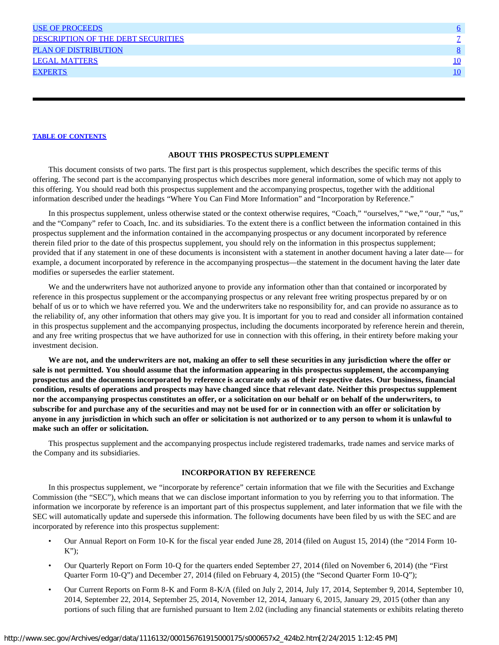| <b>USE OF PROCEEDS</b>             | Ö  |
|------------------------------------|----|
| DESCRIPTION OF THE DEBT SECURITIES |    |
| <b>PLAN OF DISTRIBUTION</b>        |    |
| <b>LEGAL MATTERS</b>               | 10 |
| <b>EXPERTS</b>                     | 10 |
|                                    |    |

#### **ABOUT THIS PROSPECTUS SUPPLEMENT**

<span id="page-2-0"></span>This document consists of two parts. The first part is this prospectus supplement, which describes the specific terms of this offering. The second part is the accompanying prospectus which describes more general information, some of which may not apply to this offering. You should read both this prospectus supplement and the accompanying prospectus, together with the additional information described under the headings "Where You Can Find More Information" and "Incorporation by Reference."

In this prospectus supplement, unless otherwise stated or the context otherwise requires, "Coach," "ourselves," "we," "our," "us," and the "Company" refer to Coach, Inc. and its subsidiaries. To the extent there is a conflict between the information contained in this prospectus supplement and the information contained in the accompanying prospectus or any document incorporated by reference therein filed prior to the date of this prospectus supplement, you should rely on the information in this prospectus supplement; provided that if any statement in one of these documents is inconsistent with a statement in another document having a later date— for example, a document incorporated by reference in the accompanying prospectus—the statement in the document having the later date modifies or supersedes the earlier statement.

We and the underwriters have not authorized anyone to provide any information other than that contained or incorporated by reference in this prospectus supplement or the accompanying prospectus or any relevant free writing prospectus prepared by or on behalf of us or to which we have referred you. We and the underwriters take no responsibility for, and can provide no assurance as to the reliability of, any other information that others may give you. It is important for you to read and consider all information contained in this prospectus supplement and the accompanying prospectus, including the documents incorporated by reference herein and therein, and any free writing prospectus that we have authorized for use in connection with this offering, in their entirety before making your investment decision.

**We are not, and the underwriters are not, making an offer to sell these securities in any jurisdiction where the offer or sale is not permitted. You should assume that the information appearing in this prospectus supplement, the accompanying prospectus and the documents incorporated by reference is accurate only as of their respective dates. Our business, financial condition, results of operations and prospects may have changed since that relevant date. Neither this prospectus supplement nor the accompanying prospectus constitutes an offer, or a solicitation on our behalf or on behalf of the underwriters, to subscribe for and purchase any of the securities and may not be used for or in connection with an offer or solicitation by anyone in any jurisdiction in which such an offer or solicitation is not authorized or to any person to whom it is unlawful to make such an offer or solicitation.**

This prospectus supplement and the accompanying prospectus include registered trademarks, trade names and service marks of the Company and its subsidiaries.

#### **INCORPORATION BY REFERENCE**

<span id="page-2-1"></span>In this prospectus supplement, we "incorporate by reference" certain information that we file with the Securities and Exchange Commission (the "SEC"), which means that we can disclose important information to you by referring you to that information. The information we incorporate by reference is an important part of this prospectus supplement, and later information that we file with the SEC will automatically update and supersede this information. The following documents have been filed by us with the SEC and are incorporated by reference into this prospectus supplement:

- Our Annual Report on Form 10-K for the fiscal year ended June 28, 2014 (filed on August 15, 2014) (the "2014 Form 10-  $K$ ");
- Our Quarterly Report on Form 10-Q for the quarters ended September 27, 2014 (filed on November 6, 2014) (the "First Quarter Form 10-Q") and December 27, 2014 (filed on February 4, 2015) (the "Second Quarter Form 10-Q");
- Our Current Reports on Form 8-K and Form 8-K/A (filed on July 2, 2014, July 17, 2014, September 9, 2014, September 10, 2014, September 22, 2014, September 25, 2014, November 12, 2014, January 6, 2015, January 29, 2015 (other than any portions of such filing that are furnished pursuant to Item 2.02 (including any financial statements or exhibits relating thereto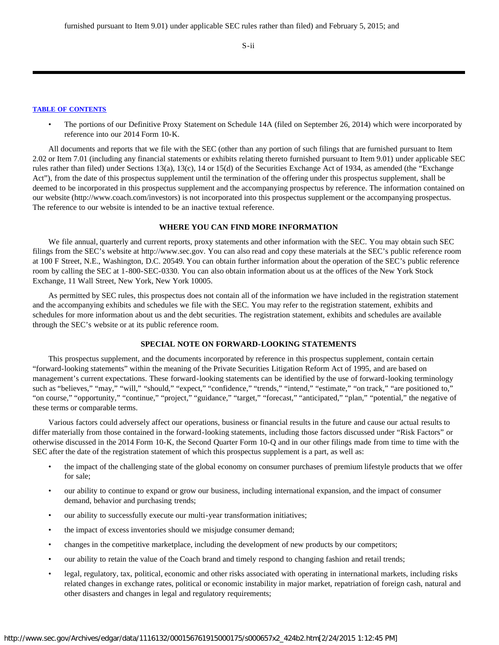S-ii

#### **[TABLE OF CONTENTS](#page-35-0)**

• The portions of our Definitive Proxy Statement on Schedule 14A (filed on September 26, 2014) which were incorporated by reference into our 2014 Form 10-K.

All documents and reports that we file with the SEC (other than any portion of such filings that are furnished pursuant to Item 2.02 or Item 7.01 (including any financial statements or exhibits relating thereto furnished pursuant to Item 9.01) under applicable SEC rules rather than filed) under Sections 13(a), 13(c), 14 or 15(d) of the Securities Exchange Act of 1934, as amended (the "Exchange Act"), from the date of this prospectus supplement until the termination of the offering under this prospectus supplement, shall be deemed to be incorporated in this prospectus supplement and the accompanying prospectus by reference. The information contained on our website (http://www.coach.com/investors) is not incorporated into this prospectus supplement or the accompanying prospectus. The reference to our website is intended to be an inactive textual reference.

#### **WHERE YOU CAN FIND MORE INFORMATION**

<span id="page-3-0"></span>We file annual, quarterly and current reports, proxy statements and other information with the SEC. You may obtain such SEC filings from the SEC's website at http://www.sec.gov. You can also read and copy these materials at the SEC's public reference room at 100 F Street, N.E., Washington, D.C. 20549. You can obtain further information about the operation of the SEC's public reference room by calling the SEC at 1-800-SEC-0330. You can also obtain information about us at the offices of the New York Stock Exchange, 11 Wall Street, New York, New York 10005.

As permitted by SEC rules, this prospectus does not contain all of the information we have included in the registration statement and the accompanying exhibits and schedules we file with the SEC. You may refer to the registration statement, exhibits and schedules for more information about us and the debt securities. The registration statement, exhibits and schedules are available through the SEC's website or at its public reference room.

# **SPECIAL NOTE ON FORWARD-LOOKING STATEMENTS**

<span id="page-3-1"></span>This prospectus supplement, and the documents incorporated by reference in this prospectus supplement, contain certain "forward-looking statements" within the meaning of the Private Securities Litigation Reform Act of 1995, and are based on management's current expectations. These forward-looking statements can be identified by the use of forward-looking terminology such as "believes," "may," "will," "should," "expect," "confidence," "trends," "intend," "estimate," "on track," "are positioned to," "on course," "opportunity," "continue," "project," "guidance," "target," "forecast," "anticipated," "plan," "potential," the negative of these terms or comparable terms.

Various factors could adversely affect our operations, business or financial results in the future and cause our actual results to differ materially from those contained in the forward-looking statements, including those factors discussed under "Risk Factors" or otherwise discussed in the 2014 Form 10-K, the Second Quarter Form 10-Q and in our other filings made from time to time with the SEC after the date of the registration statement of which this prospectus supplement is a part, as well as:

- the impact of the challenging state of the global economy on consumer purchases of premium lifestyle products that we offer for sale;
- our ability to continue to expand or grow our business, including international expansion, and the impact of consumer demand, behavior and purchasing trends;
- our ability to successfully execute our multi-year transformation initiatives;
- the impact of excess inventories should we misjudge consumer demand;
- changes in the competitive marketplace, including the development of new products by our competitors;
- our ability to retain the value of the Coach brand and timely respond to changing fashion and retail trends;
- legal, regulatory, tax, political, economic and other risks associated with operating in international markets, including risks related changes in exchange rates, political or economic instability in major market, repatriation of foreign cash, natural and other disasters and changes in legal and regulatory requirements;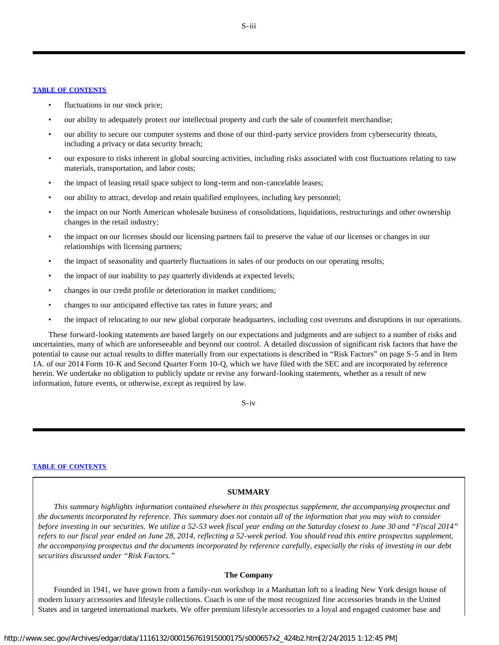- fluctuations in our stock price;
- our ability to adequately protect our intellectual property and curb the sale of counterfeit merchandise;
- our ability to secure our computer systems and those of our third-party service providers from cybersecurity threats, including a privacy or data security breach;
- our exposure to risks inherent in global sourcing activities, including risks associated with cost fluctuations relating to raw materials, transportation, and labor costs;
- the impact of leasing retail space subject to long-term and non-cancelable leases;
- our ability to attract, develop and retain qualified employees, including key personnel;
- the impact on our North American wholesale business of consolidations, liquidations, restructurings and other ownership changes in the retail industry;
- the impact on our licenses should our licensing partners fail to preserve the value of our licenses or changes in our relationships with licensing partners;
- the impact of seasonality and quarterly fluctuations in sales of our products on our operating results;
- the impact of our inability to pay quarterly dividends at expected levels;
- changes in our credit profile or deterioration in market conditions;
- changes to our anticipated effective tax rates in future years; and
- the impact of relocating to our new global corporate headquarters, including cost overruns and disruptions in our operations.

These forward-looking statements are based largely on our expectations and judgments and are subject to a number of risks and uncertainties, many of which are unforeseeable and beyond our control. A detailed discussion of significant risk factors that have the potential to cause our actual results to differ materially from our expectations is described in "Risk Factors" on page S-5 and in Item 1A. of our 2014 Form 10-K and Second Quarter Form 10-Q, which we have filed with the SEC and are incorporated by reference herein. We undertake no obligation to publicly update or revise any forward-looking statements, whether as a result of new information, future events, or otherwise, except as required by law.

S-iv

#### <span id="page-4-0"></span>**[TABLE OF CONTENTS](#page-35-0)**

#### **SUMMARY**

*This summary highlights information contained elsewhere in this prospectus supplement, the accompanying prospectus and the documents incorporated by reference. This summary does not contain all of the information that you may wish to consider before investing in our securities. We utilize a 52-53 week fiscal year ending on the Saturday closest to June 30 and "Fiscal 2014" refers to our fiscal year ended on June 28, 2014, reflecting a 52-week period. You should read this entire prospectus supplement, the accompanying prospectus and the documents incorporated by reference carefully, especially the risks of investing in our debt securities discussed under "Risk Factors."*

# **The Company**

Founded in 1941, we have grown from a family-run workshop in a Manhattan loft to a leading New York design house of modern luxury accessories and lifestyle collections. Coach is one of the most recognized fine accessories brands in the United States and in targeted international markets. We offer premium lifestyle accessories to a loyal and engaged customer base and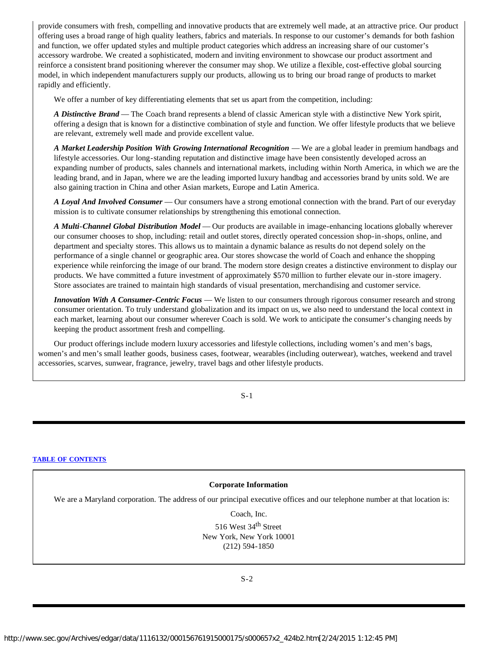provide consumers with fresh, compelling and innovative products that are extremely well made, at an attractive price. Our product offering uses a broad range of high quality leathers, fabrics and materials. In response to our customer's demands for both fashion and function, we offer updated styles and multiple product categories which address an increasing share of our customer's accessory wardrobe. We created a sophisticated, modern and inviting environment to showcase our product assortment and reinforce a consistent brand positioning wherever the consumer may shop. We utilize a flexible, cost-effective global sourcing model, in which independent manufacturers supply our products, allowing us to bring our broad range of products to market rapidly and efficiently.

We offer a number of key differentiating elements that set us apart from the competition, including:

*A Distinctive Brand* — The Coach brand represents a blend of classic American style with a distinctive New York spirit, offering a design that is known for a distinctive combination of style and function. We offer lifestyle products that we believe are relevant, extremely well made and provide excellent value.

*A Market Leadership Position With Growing International Recognition* — We are a global leader in premium handbags and lifestyle accessories. Our long-standing reputation and distinctive image have been consistently developed across an expanding number of products, sales channels and international markets, including within North America, in which we are the leading brand, and in Japan, where we are the leading imported luxury handbag and accessories brand by units sold. We are also gaining traction in China and other Asian markets, Europe and Latin America.

*A Loyal And Involved Consumer* — Our consumers have a strong emotional connection with the brand. Part of our everyday mission is to cultivate consumer relationships by strengthening this emotional connection.

*A Multi-Channel Global Distribution Model* — Our products are available in image-enhancing locations globally wherever our consumer chooses to shop, including: retail and outlet stores, directly operated concession shop-in-shops, online, and department and specialty stores. This allows us to maintain a dynamic balance as results do not depend solely on the performance of a single channel or geographic area. Our stores showcase the world of Coach and enhance the shopping experience while reinforcing the image of our brand. The modern store design creates a distinctive environment to display our products. We have committed a future investment of approximately \$570 million to further elevate our in-store imagery. Store associates are trained to maintain high standards of visual presentation, merchandising and customer service.

*Innovation With A Consumer-Centric Focus* — We listen to our consumers through rigorous consumer research and strong consumer orientation. To truly understand globalization and its impact on us, we also need to understand the local context in each market, learning about our consumer wherever Coach is sold. We work to anticipate the consumer's changing needs by keeping the product assortment fresh and compelling.

Our product offerings include modern luxury accessories and lifestyle collections, including women's and men's bags, women's and men's small leather goods, business cases, footwear, wearables (including outerwear), watches, weekend and travel accessories, scarves, sunwear, fragrance, jewelry, travel bags and other lifestyle products.

S-1

#### **[TABLE OF CONTENTS](#page-35-0)**

#### **Corporate Information**

We are a Maryland corporation. The address of our principal executive offices and our telephone number at that location is:

Coach, Inc.

516 West 34<sup>th</sup> Street New York, New York 10001 (212) 594-1850

S-2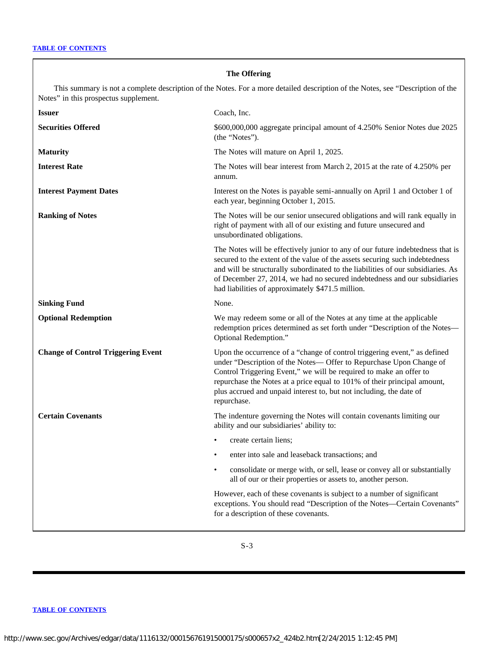# **The Offering**

This summary is not a complete description of the Notes. For a more detailed description of the Notes, see "Description of the Notes" in this prospectus supplement.

| <b>Issuer</b>                             | Coach, Inc.                                                                                                                                                                                                                                                                                                                                                                              |
|-------------------------------------------|------------------------------------------------------------------------------------------------------------------------------------------------------------------------------------------------------------------------------------------------------------------------------------------------------------------------------------------------------------------------------------------|
| <b>Securities Offered</b>                 | \$600,000,000 aggregate principal amount of 4.250% Senior Notes due 2025<br>(the "Notes").                                                                                                                                                                                                                                                                                               |
| <b>Maturity</b>                           | The Notes will mature on April 1, 2025.                                                                                                                                                                                                                                                                                                                                                  |
| <b>Interest Rate</b>                      | The Notes will bear interest from March 2, 2015 at the rate of 4.250% per<br>annum.                                                                                                                                                                                                                                                                                                      |
| <b>Interest Payment Dates</b>             | Interest on the Notes is payable semi-annually on April 1 and October 1 of<br>each year, beginning October 1, 2015.                                                                                                                                                                                                                                                                      |
| <b>Ranking of Notes</b>                   | The Notes will be our senior unsecured obligations and will rank equally in<br>right of payment with all of our existing and future unsecured and<br>unsubordinated obligations.                                                                                                                                                                                                         |
|                                           | The Notes will be effectively junior to any of our future indebtedness that is<br>secured to the extent of the value of the assets securing such indebtedness<br>and will be structurally subordinated to the liabilities of our subsidiaries. As<br>of December 27, 2014, we had no secured indebtedness and our subsidiaries<br>had liabilities of approximately \$471.5 million.      |
| <b>Sinking Fund</b>                       | None.                                                                                                                                                                                                                                                                                                                                                                                    |
| <b>Optional Redemption</b>                | We may redeem some or all of the Notes at any time at the applicable<br>redemption prices determined as set forth under "Description of the Notes-<br>Optional Redemption."                                                                                                                                                                                                              |
| <b>Change of Control Triggering Event</b> | Upon the occurrence of a "change of control triggering event," as defined<br>under "Description of the Notes- Offer to Repurchase Upon Change of<br>Control Triggering Event," we will be required to make an offer to<br>repurchase the Notes at a price equal to 101% of their principal amount,<br>plus accrued and unpaid interest to, but not including, the date of<br>repurchase. |
| <b>Certain Covenants</b>                  | The indenture governing the Notes will contain covenants limiting our<br>ability and our subsidiaries' ability to:                                                                                                                                                                                                                                                                       |
|                                           | create certain liens;                                                                                                                                                                                                                                                                                                                                                                    |
|                                           | enter into sale and leaseback transactions; and                                                                                                                                                                                                                                                                                                                                          |
|                                           | consolidate or merge with, or sell, lease or convey all or substantially<br>all of our or their properties or assets to, another person.                                                                                                                                                                                                                                                 |
|                                           | However, each of these covenants is subject to a number of significant<br>exceptions. You should read "Description of the Notes-Certain Covenants"<br>for a description of these covenants.                                                                                                                                                                                              |

S-3

# **[TABLE OF CONTENTS](#page-35-0)**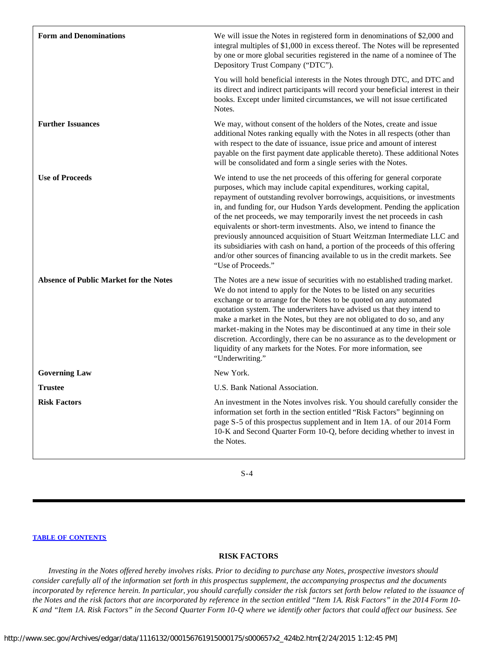| <b>Form and Denominations</b>                 | We will issue the Notes in registered form in denominations of \$2,000 and<br>integral multiples of \$1,000 in excess thereof. The Notes will be represented<br>by one or more global securities registered in the name of a nominee of The<br>Depository Trust Company ("DTC").                                                                                                                                                                                                                                                                                                                                                                                                                                                   |
|-----------------------------------------------|------------------------------------------------------------------------------------------------------------------------------------------------------------------------------------------------------------------------------------------------------------------------------------------------------------------------------------------------------------------------------------------------------------------------------------------------------------------------------------------------------------------------------------------------------------------------------------------------------------------------------------------------------------------------------------------------------------------------------------|
|                                               | You will hold beneficial interests in the Notes through DTC, and DTC and<br>its direct and indirect participants will record your beneficial interest in their<br>books. Except under limited circumstances, we will not issue certificated<br>Notes.                                                                                                                                                                                                                                                                                                                                                                                                                                                                              |
| <b>Further Issuances</b>                      | We may, without consent of the holders of the Notes, create and issue<br>additional Notes ranking equally with the Notes in all respects (other than<br>with respect to the date of issuance, issue price and amount of interest<br>payable on the first payment date applicable thereto). These additional Notes<br>will be consolidated and form a single series with the Notes.                                                                                                                                                                                                                                                                                                                                                 |
| <b>Use of Proceeds</b>                        | We intend to use the net proceeds of this offering for general corporate<br>purposes, which may include capital expenditures, working capital,<br>repayment of outstanding revolver borrowings, acquisitions, or investments<br>in, and funding for, our Hudson Yards development. Pending the application<br>of the net proceeds, we may temporarily invest the net proceeds in cash<br>equivalents or short-term investments. Also, we intend to finance the<br>previously announced acquisition of Stuart Weitzman Intermediate LLC and<br>its subsidiaries with cash on hand, a portion of the proceeds of this offering<br>and/or other sources of financing available to us in the credit markets. See<br>"Use of Proceeds." |
| <b>Absence of Public Market for the Notes</b> | The Notes are a new issue of securities with no established trading market.<br>We do not intend to apply for the Notes to be listed on any securities<br>exchange or to arrange for the Notes to be quoted on any automated<br>quotation system. The underwriters have advised us that they intend to<br>make a market in the Notes, but they are not obligated to do so, and any<br>market-making in the Notes may be discontinued at any time in their sole<br>discretion. Accordingly, there can be no assurance as to the development or<br>liquidity of any markets for the Notes. For more information, see<br>"Underwriting."                                                                                               |
| <b>Governing Law</b>                          | New York.                                                                                                                                                                                                                                                                                                                                                                                                                                                                                                                                                                                                                                                                                                                          |
| <b>Trustee</b>                                | U.S. Bank National Association.                                                                                                                                                                                                                                                                                                                                                                                                                                                                                                                                                                                                                                                                                                    |
| <b>Risk Factors</b>                           | An investment in the Notes involves risk. You should carefully consider the<br>information set forth in the section entitled "Risk Factors" beginning on<br>page S-5 of this prospectus supplement and in Item 1A. of our 2014 Form<br>10-K and Second Quarter Form 10-Q, before deciding whether to invest in<br>the Notes.                                                                                                                                                                                                                                                                                                                                                                                                       |
|                                               |                                                                                                                                                                                                                                                                                                                                                                                                                                                                                                                                                                                                                                                                                                                                    |

S-4

#### **[TABLE OF CONTENTS](#page-35-0)**

# **RISK FACTORS**

<span id="page-7-0"></span>*Investing in the Notes offered hereby involves risks. Prior to deciding to purchase any Notes, prospective investors should consider carefully all of the information set forth in this prospectus supplement, the accompanying prospectus and the documents incorporated by reference herein. In particular, you should carefully consider the risk factors set forth below related to the issuance of the Notes and the risk factors that are incorporated by reference in the section entitled "Item 1A. Risk Factors" in the 2014 Form 10- K and "Item 1A. Risk Factors" in the Second Quarter Form 10-Q where we identify other factors that could affect our business. See*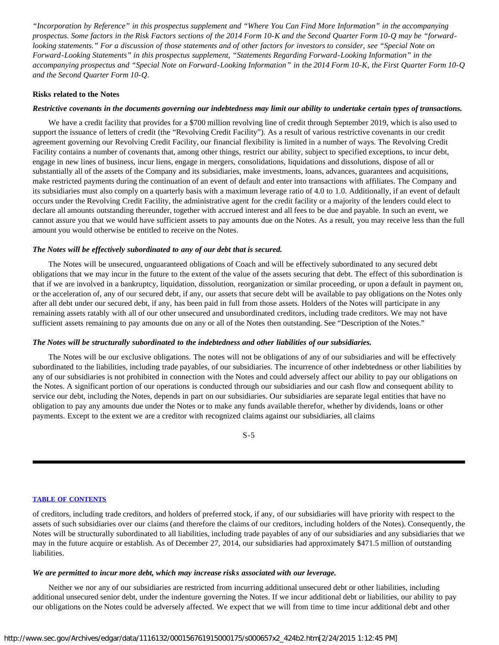*"Incorporation by Reference" in this prospectus supplement and "Where You Can Find More Information" in the accompanying prospectus. Some factors in the Risk Factors sections of the 2014 Form 10-K and the Second Quarter Form 10-Q may be "forwardlooking statements." For a discussion of those statements and of other factors for investors to consider, see "Special Note on Forward-Looking Statements" in this prospectus supplement, "Statements Regarding Forward-Looking Information" in the accompanying prospectus and "Special Note on Forward-Looking Information" in the 2014 Form 10-K, the First Quarter Form 10-Q and the Second Quarter Form 10-Q.*

# **Risks related to the Notes**

#### *Restrictive covenants in the documents governing our indebtedness may limit our ability to undertake certain types of transactions.*

We have a credit facility that provides for a \$700 million revolving line of credit through September 2019, which is also used to support the issuance of letters of credit (the "Revolving Credit Facility"). As a result of various restrictive covenants in our credit agreement governing our Revolving Credit Facility, our financial flexibility is limited in a number of ways. The Revolving Credit Facility contains a number of covenants that, among other things, restrict our ability, subject to specified exceptions, to incur debt, engage in new lines of business, incur liens, engage in mergers, consolidations, liquidations and dissolutions, dispose of all or substantially all of the assets of the Company and its subsidiaries, make investments, loans, advances, guarantees and acquisitions, make restricted payments during the continuation of an event of default and enter into transactions with affiliates. The Company and its subsidiaries must also comply on a quarterly basis with a maximum leverage ratio of 4.0 to 1.0. Additionally, if an event of default occurs under the Revolving Credit Facility, the administrative agent for the credit facility or a majority of the lenders could elect to declare all amounts outstanding thereunder, together with accrued interest and all fees to be due and payable. In such an event, we cannot assure you that we would have sufficient assets to pay amounts due on the Notes. As a result, you may receive less than the full amount you would otherwise be entitled to receive on the Notes.

# *The Notes will be effectively subordinated to any of our debt that is secured.*

The Notes will be unsecured, unguaranteed obligations of Coach and will be effectively subordinated to any secured debt obligations that we may incur in the future to the extent of the value of the assets securing that debt. The effect of this subordination is that if we are involved in a bankruptcy, liquidation, dissolution, reorganization or similar proceeding, or upon a default in payment on, or the acceleration of, any of our secured debt, if any, our assets that secure debt will be available to pay obligations on the Notes only after all debt under our secured debt, if any, has been paid in full from those assets. Holders of the Notes will participate in any remaining assets ratably with all of our other unsecured and unsubordinated creditors, including trade creditors. We may not have sufficient assets remaining to pay amounts due on any or all of the Notes then outstanding. See "Description of the Notes."

#### *The Notes will be structurally subordinated to the indebtedness and other liabilities of our subsidiaries.*

The Notes will be our exclusive obligations. The notes will not be obligations of any of our subsidiaries and will be effectively subordinated to the liabilities, including trade payables, of our subsidiaries. The incurrence of other indebtedness or other liabilities by any of our subsidiaries is not prohibited in connection with the Notes and could adversely affect our ability to pay our obligations on the Notes. A significant portion of our operations is conducted through our subsidiaries and our cash flow and consequent ability to service our debt, including the Notes, depends in part on our subsidiaries. Our subsidiaries are separate legal entities that have no obligation to pay any amounts due under the Notes or to make any funds available therefor, whether by dividends, loans or other payments. Except to the extent we are a creditor with recognized claims against our subsidiaries, all claims

S-5

#### **[TABLE OF CONTENTS](#page-35-0)**

of creditors, including trade creditors, and holders of preferred stock, if any, of our subsidiaries will have priority with respect to the assets of such subsidiaries over our claims (and therefore the claims of our creditors, including holders of the Notes). Consequently, the Notes will be structurally subordinated to all liabilities, including trade payables of any of our subsidiaries and any subsidiaries that we may in the future acquire or establish. As of December 27, 2014, our subsidiaries had approximately \$471.5 million of outstanding liabilities.

#### *We are permitted to incur more debt, which may increase risks associated with our leverage.*

Neither we nor any of our subsidiaries are restricted from incurring additional unsecured debt or other liabilities, including additional unsecured senior debt, under the indenture governing the Notes. If we incur additional debt or liabilities, our ability to pay our obligations on the Notes could be adversely affected. We expect that we will from time to time incur additional debt and other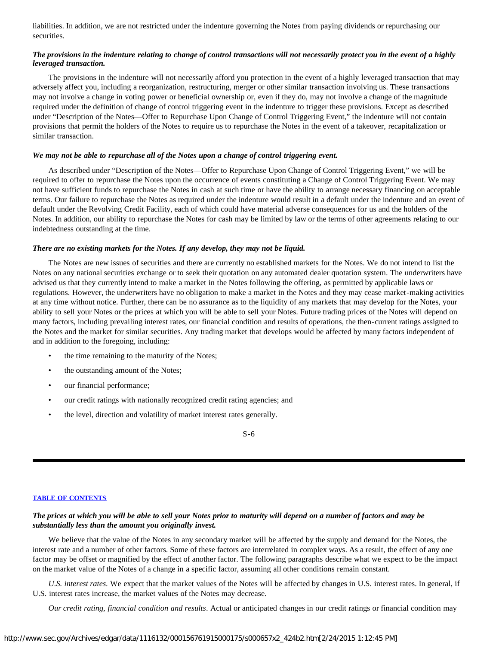liabilities. In addition, we are not restricted under the indenture governing the Notes from paying dividends or repurchasing our securities.

# *The provisions in the indenture relating to change of control transactions will not necessarily protect you in the event of a highly leveraged transaction.*

The provisions in the indenture will not necessarily afford you protection in the event of a highly leveraged transaction that may adversely affect you, including a reorganization, restructuring, merger or other similar transaction involving us. These transactions may not involve a change in voting power or beneficial ownership or, even if they do, may not involve a change of the magnitude required under the definition of change of control triggering event in the indenture to trigger these provisions. Except as described under "Description of the Notes—Offer to Repurchase Upon Change of Control Triggering Event," the indenture will not contain provisions that permit the holders of the Notes to require us to repurchase the Notes in the event of a takeover, recapitalization or similar transaction.

# *We may not be able to repurchase all of the Notes upon a change of control triggering event.*

As described under "Description of the Notes—Offer to Repurchase Upon Change of Control Triggering Event," we will be required to offer to repurchase the Notes upon the occurrence of events constituting a Change of Control Triggering Event. We may not have sufficient funds to repurchase the Notes in cash at such time or have the ability to arrange necessary financing on acceptable terms. Our failure to repurchase the Notes as required under the indenture would result in a default under the indenture and an event of default under the Revolving Credit Facility, each of which could have material adverse consequences for us and the holders of the Notes. In addition, our ability to repurchase the Notes for cash may be limited by law or the terms of other agreements relating to our indebtedness outstanding at the time.

# *There are no existing markets for the Notes. If any develop, they may not be liquid.*

The Notes are new issues of securities and there are currently no established markets for the Notes. We do not intend to list the Notes on any national securities exchange or to seek their quotation on any automated dealer quotation system. The underwriters have advised us that they currently intend to make a market in the Notes following the offering, as permitted by applicable laws or regulations. However, the underwriters have no obligation to make a market in the Notes and they may cease market-making activities at any time without notice. Further, there can be no assurance as to the liquidity of any markets that may develop for the Notes, your ability to sell your Notes or the prices at which you will be able to sell your Notes. Future trading prices of the Notes will depend on many factors, including prevailing interest rates, our financial condition and results of operations, the then-current ratings assigned to the Notes and the market for similar securities. Any trading market that develops would be affected by many factors independent of and in addition to the foregoing, including:

- the time remaining to the maturity of the Notes;
- the outstanding amount of the Notes;
- our financial performance;
- our credit ratings with nationally recognized credit rating agencies; and
- the level, direction and volatility of market interest rates generally.

S-6

#### **[TABLE OF CONTENTS](#page-35-0)**

# *The prices at which you will be able to sell your Notes prior to maturity will depend on a number of factors and may be substantially less than the amount you originally invest.*

We believe that the value of the Notes in any secondary market will be affected by the supply and demand for the Notes, the interest rate and a number of other factors. Some of these factors are interrelated in complex ways. As a result, the effect of any one factor may be offset or magnified by the effect of another factor. The following paragraphs describe what we expect to be the impact on the market value of the Notes of a change in a specific factor, assuming all other conditions remain constant.

*U.S. interest rates*. We expect that the market values of the Notes will be affected by changes in U.S. interest rates. In general, if U.S. interest rates increase, the market values of the Notes may decrease.

*Our credit rating, financial condition and results*. Actual or anticipated changes in our credit ratings or financial condition may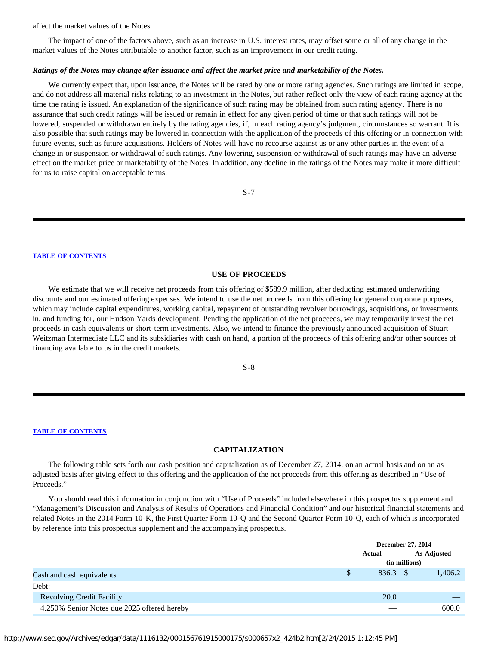affect the market values of the Notes.

The impact of one of the factors above, such as an increase in U.S. interest rates, may offset some or all of any change in the market values of the Notes attributable to another factor, such as an improvement in our credit rating.

#### *Ratings of the Notes may change after issuance and affect the market price and marketability of the Notes.*

We currently expect that, upon issuance, the Notes will be rated by one or more rating agencies. Such ratings are limited in scope, and do not address all material risks relating to an investment in the Notes, but rather reflect only the view of each rating agency at the time the rating is issued. An explanation of the significance of such rating may be obtained from such rating agency. There is no assurance that such credit ratings will be issued or remain in effect for any given period of time or that such ratings will not be lowered, suspended or withdrawn entirely by the rating agencies, if, in each rating agency's judgment, circumstances so warrant. It is also possible that such ratings may be lowered in connection with the application of the proceeds of this offering or in connection with future events, such as future acquisitions. Holders of Notes will have no recourse against us or any other parties in the event of a change in or suspension or withdrawal of such ratings. Any lowering, suspension or withdrawal of such ratings may have an adverse effect on the market price or marketability of the Notes. In addition, any decline in the ratings of the Notes may make it more difficult for us to raise capital on acceptable terms.

S-7

#### **[TABLE OF CONTENTS](#page-35-0)**

#### **USE OF PROCEEDS**

<span id="page-10-0"></span>We estimate that we will receive net proceeds from this offering of \$589.9 million, after deducting estimated underwriting discounts and our estimated offering expenses. We intend to use the net proceeds from this offering for general corporate purposes, which may include capital expenditures, working capital, repayment of outstanding revolver borrowings, acquisitions, or investments in, and funding for, our Hudson Yards development. Pending the application of the net proceeds, we may temporarily invest the net proceeds in cash equivalents or short-term investments. Also, we intend to finance the previously announced acquisition of Stuart Weitzman Intermediate LLC and its subsidiaries with cash on hand, a portion of the proceeds of this offering and/or other sources of financing available to us in the credit markets.

# S-8

#### **[TABLE OF CONTENTS](#page-35-0)**

#### **CAPITALIZATION**

<span id="page-10-1"></span>The following table sets forth our cash position and capitalization as of December 27, 2014, on an actual basis and on an as adjusted basis after giving effect to this offering and the application of the net proceeds from this offering as described in "Use of Proceeds."

You should read this information in conjunction with "Use of Proceeds" included elsewhere in this prospectus supplement and "Management's Discussion and Analysis of Results of Operations and Financial Condition" and our historical financial statements and related Notes in the 2014 Form 10-K, the First Quarter Form 10-Q and the Second Quarter Form 10-Q, each of which is incorporated by reference into this prospectus supplement and the accompanying prospectus.

|                                             |        | December 27, 2014 |  |
|---------------------------------------------|--------|-------------------|--|
|                                             | Actual | As Adjusted       |  |
|                                             |        | (in millions)     |  |
| Cash and cash equivalents                   | 836.3  | 1,406.2           |  |
| Debt:                                       |        |                   |  |
| <b>Revolving Credit Facility</b>            | 20.0   |                   |  |
| 4.250% Senior Notes due 2025 offered hereby |        | 600.0             |  |

http://www.sec.gov/Archives/edgar/data/1116132/000156761915000175/s000657x2\_424b2.htm[2/24/2015 1:12:45 PM]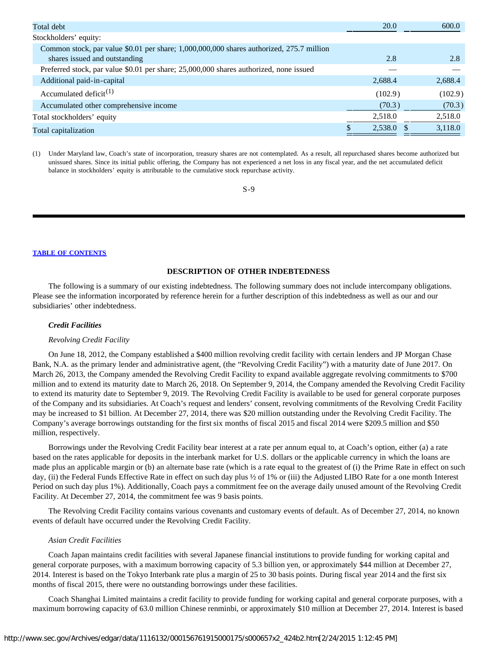| Total debt                                                                               | 20.0    | 600.0   |
|------------------------------------------------------------------------------------------|---------|---------|
| Stockholders' equity:                                                                    |         |         |
| Common stock, par value \$0.01 per share; 1,000,000,000 shares authorized, 275.7 million |         |         |
| shares issued and outstanding                                                            | 2.8     | 2.8     |
| Preferred stock, par value \$0.01 per share; 25,000,000 shares authorized, none issued   |         |         |
| Additional paid-in-capital                                                               | 2,688.4 | 2,688.4 |
| Accumulated deficit <sup>(1)</sup>                                                       | (102.9) | (102.9) |
| Accumulated other comprehensive income                                                   | (70.3)  | (70.3)  |
| Total stockholders' equity                                                               | 2,518.0 | 2,518.0 |
| Total capitalization                                                                     | 2,538.0 | 3,118.0 |
|                                                                                          |         |         |

(1) Under Maryland law, Coach's state of incorporation, treasury shares are not contemplated. As a result, all repurchased shares become authorized but unissued shares. Since its initial public offering, the Company has not experienced a net loss in any fiscal year, and the net accumulated deficit balance in stockholders' equity is attributable to the cumulative stock repurchase activity.

# S-9

#### **[TABLE OF CONTENTS](#page-35-0)**

#### **DESCRIPTION OF OTHER INDEBTEDNESS**

<span id="page-11-0"></span>The following is a summary of our existing indebtedness. The following summary does not include intercompany obligations. Please see the information incorporated by reference herein for a further description of this indebtedness as well as our and our subsidiaries' other indebtedness.

#### *Credit Facilities*

#### *Revolving Credit Facility*

On June 18, 2012, the Company established a \$400 million revolving credit facility with certain lenders and JP Morgan Chase Bank, N.A. as the primary lender and administrative agent, (the "Revolving Credit Facility") with a maturity date of June 2017. On March 26, 2013, the Company amended the Revolving Credit Facility to expand available aggregate revolving commitments to \$700 million and to extend its maturity date to March 26, 2018. On September 9, 2014, the Company amended the Revolving Credit Facility to extend its maturity date to September 9, 2019. The Revolving Credit Facility is available to be used for general corporate purposes of the Company and its subsidiaries. At Coach's request and lenders' consent, revolving commitments of the Revolving Credit Facility may be increased to \$1 billion. At December 27, 2014, there was \$20 million outstanding under the Revolving Credit Facility. The Company's average borrowings outstanding for the first six months of fiscal 2015 and fiscal 2014 were \$209.5 million and \$50 million, respectively.

Borrowings under the Revolving Credit Facility bear interest at a rate per annum equal to, at Coach's option, either (a) a rate based on the rates applicable for deposits in the interbank market for U.S. dollars or the applicable currency in which the loans are made plus an applicable margin or (b) an alternate base rate (which is a rate equal to the greatest of (i) the Prime Rate in effect on such day, (ii) the Federal Funds Effective Rate in effect on such day plus ½ of 1% or (iii) the Adjusted LIBO Rate for a one month Interest Period on such day plus 1%). Additionally, Coach pays a commitment fee on the average daily unused amount of the Revolving Credit Facility. At December 27, 2014, the commitment fee was 9 basis points.

The Revolving Credit Facility contains various covenants and customary events of default. As of December 27, 2014, no known events of default have occurred under the Revolving Credit Facility.

#### *Asian Credit Facilities*

Coach Japan maintains credit facilities with several Japanese financial institutions to provide funding for working capital and general corporate purposes, with a maximum borrowing capacity of 5.3 billion yen, or approximately \$44 million at December 27, 2014. Interest is based on the Tokyo Interbank rate plus a margin of 25 to 30 basis points. During fiscal year 2014 and the first six months of fiscal 2015, there were no outstanding borrowings under these facilities.

Coach Shanghai Limited maintains a credit facility to provide funding for working capital and general corporate purposes, with a maximum borrowing capacity of 63.0 million Chinese renminbi, or approximately \$10 million at December 27, 2014. Interest is based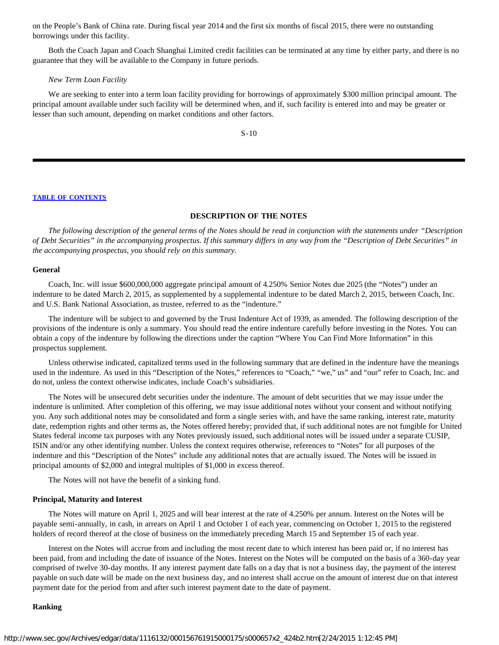on the People's Bank of China rate. During fiscal year 2014 and the first six months of fiscal 2015, there were no outstanding borrowings under this facility.

Both the Coach Japan and Coach Shanghai Limited credit facilities can be terminated at any time by either party, and there is no guarantee that they will be available to the Company in future periods.

#### *New Term Loan Facility*

We are seeking to enter into a term loan facility providing for borrowings of approximately \$300 million principal amount. The principal amount available under such facility will be determined when, and if, such facility is entered into and may be greater or lesser than such amount, depending on market conditions and other factors.

S-10

#### **[TABLE OF CONTENTS](#page-35-0)**

# **DESCRIPTION OF THE NOTES**

<span id="page-12-0"></span>*The following description of the general terms of the Notes should be read in conjunction with the statements under "Description of Debt Securities" in the accompanying prospectus. If this summary differs in any way from the "Description of Debt Securities" in the accompanying prospectus, you should rely on this summary.*

#### **General**

Coach, Inc. will issue \$600,000,000 aggregate principal amount of 4.250% Senior Notes due 2025 (the "Notes") under an indenture to be dated March 2, 2015, as supplemented by a supplemental indenture to be dated March 2, 2015, between Coach, Inc. and U.S. Bank National Association, as trustee, referred to as the "indenture."

The indenture will be subject to and governed by the Trust Indenture Act of 1939, as amended. The following description of the provisions of the indenture is only a summary. You should read the entire indenture carefully before investing in the Notes. You can obtain a copy of the indenture by following the directions under the caption "Where You Can Find More Information" in this prospectus supplement.

Unless otherwise indicated, capitalized terms used in the following summary that are defined in the indenture have the meanings used in the indenture. As used in this "Description of the Notes," references to "Coach," "we," us" and "our" refer to Coach, Inc. and do not, unless the context otherwise indicates, include Coach's subsidiaries.

The Notes will be unsecured debt securities under the indenture. The amount of debt securities that we may issue under the indenture is unlimited. After completion of this offering, we may issue additional notes without your consent and without notifying you. Any such additional notes may be consolidated and form a single series with, and have the same ranking, interest rate, maturity date, redemption rights and other terms as, the Notes offered hereby; provided that, if such additional notes are not fungible for United States federal income tax purposes with any Notes previously issued, such additional notes will be issued under a separate CUSIP, ISIN and/or any other identifying number. Unless the context requires otherwise, references to "Notes" for all purposes of the indenture and this "Description of the Notes" include any additional notes that are actually issued. The Notes will be issued in principal amounts of \$2,000 and integral multiples of \$1,000 in excess thereof.

The Notes will not have the benefit of a sinking fund.

#### **Principal, Maturity and Interest**

The Notes will mature on April 1, 2025 and will bear interest at the rate of 4.250% per annum. Interest on the Notes will be payable semi-annually, in cash, in arrears on April 1 and October 1 of each year, commencing on October 1, 2015 to the registered holders of record thereof at the close of business on the immediately preceding March 15 and September 15 of each year.

Interest on the Notes will accrue from and including the most recent date to which interest has been paid or, if no interest has been paid, from and including the date of issuance of the Notes. Interest on the Notes will be computed on the basis of a 360-day year comprised of twelve 30-day months. If any interest payment date falls on a day that is not a business day, the payment of the interest payable on such date will be made on the next business day, and no interest shall accrue on the amount of interest due on that interest payment date for the period from and after such interest payment date to the date of payment.

#### **Ranking**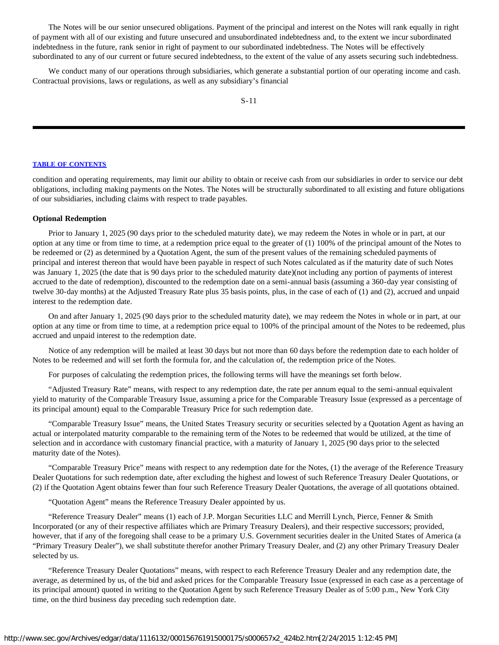The Notes will be our senior unsecured obligations. Payment of the principal and interest on the Notes will rank equally in right of payment with all of our existing and future unsecured and unsubordinated indebtedness and, to the extent we incur subordinated indebtedness in the future, rank senior in right of payment to our subordinated indebtedness. The Notes will be effectively subordinated to any of our current or future secured indebtedness, to the extent of the value of any assets securing such indebtedness.

We conduct many of our operations through subsidiaries, which generate a substantial portion of our operating income and cash. Contractual provisions, laws or regulations, as well as any subsidiary's financial

# **[TABLE OF CONTENTS](#page-35-0)**

condition and operating requirements, may limit our ability to obtain or receive cash from our subsidiaries in order to service our debt obligations, including making payments on the Notes. The Notes will be structurally subordinated to all existing and future obligations of our subsidiaries, including claims with respect to trade payables.

# **Optional Redemption**

Prior to January 1, 2025 (90 days prior to the scheduled maturity date), we may redeem the Notes in whole or in part, at our option at any time or from time to time, at a redemption price equal to the greater of (1) 100% of the principal amount of the Notes to be redeemed or (2) as determined by a Quotation Agent, the sum of the present values of the remaining scheduled payments of principal and interest thereon that would have been payable in respect of such Notes calculated as if the maturity date of such Notes was January 1, 2025 (the date that is 90 days prior to the scheduled maturity date)(not including any portion of payments of interest accrued to the date of redemption), discounted to the redemption date on a semi-annual basis (assuming a 360-day year consisting of twelve 30-day months) at the Adjusted Treasury Rate plus 35 basis points, plus, in the case of each of (1) and (2), accrued and unpaid interest to the redemption date.

On and after January 1, 2025 (90 days prior to the scheduled maturity date), we may redeem the Notes in whole or in part, at our option at any time or from time to time, at a redemption price equal to 100% of the principal amount of the Notes to be redeemed, plus accrued and unpaid interest to the redemption date.

Notice of any redemption will be mailed at least 30 days but not more than 60 days before the redemption date to each holder of Notes to be redeemed and will set forth the formula for, and the calculation of, the redemption price of the Notes.

For purposes of calculating the redemption prices, the following terms will have the meanings set forth below.

"Adjusted Treasury Rate" means, with respect to any redemption date, the rate per annum equal to the semi-annual equivalent yield to maturity of the Comparable Treasury Issue, assuming a price for the Comparable Treasury Issue (expressed as a percentage of its principal amount) equal to the Comparable Treasury Price for such redemption date.

"Comparable Treasury Issue" means, the United States Treasury security or securities selected by a Quotation Agent as having an actual or interpolated maturity comparable to the remaining term of the Notes to be redeemed that would be utilized, at the time of selection and in accordance with customary financial practice, with a maturity of January 1, 2025 (90 days prior to the selected maturity date of the Notes).

"Comparable Treasury Price" means with respect to any redemption date for the Notes, (1) the average of the Reference Treasury Dealer Quotations for such redemption date, after excluding the highest and lowest of such Reference Treasury Dealer Quotations, or (2) if the Quotation Agent obtains fewer than four such Reference Treasury Dealer Quotations, the average of all quotations obtained.

"Quotation Agent" means the Reference Treasury Dealer appointed by us.

"Reference Treasury Dealer" means (1) each of J.P. Morgan Securities LLC and Merrill Lynch, Pierce, Fenner & Smith Incorporated (or any of their respective affiliates which are Primary Treasury Dealers), and their respective successors; provided, however, that if any of the foregoing shall cease to be a primary U.S. Government securities dealer in the United States of America (a "Primary Treasury Dealer"), we shall substitute therefor another Primary Treasury Dealer, and (2) any other Primary Treasury Dealer selected by us.

"Reference Treasury Dealer Quotations" means, with respect to each Reference Treasury Dealer and any redemption date, the average, as determined by us, of the bid and asked prices for the Comparable Treasury Issue (expressed in each case as a percentage of its principal amount) quoted in writing to the Quotation Agent by such Reference Treasury Dealer as of 5:00 p.m., New York City time, on the third business day preceding such redemption date.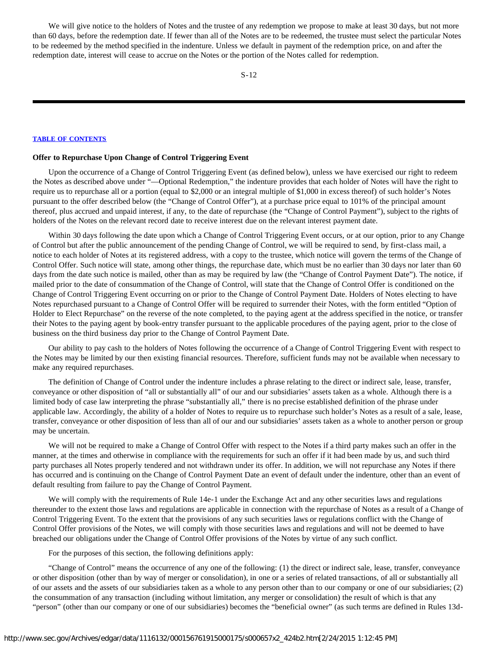We will give notice to the holders of Notes and the trustee of any redemption we propose to make at least 30 days, but not more than 60 days, before the redemption date. If fewer than all of the Notes are to be redeemed, the trustee must select the particular Notes to be redeemed by the method specified in the indenture. Unless we default in payment of the redemption price, on and after the redemption date, interest will cease to accrue on the Notes or the portion of the Notes called for redemption.

#### **[TABLE OF CONTENTS](#page-35-0)**

#### **Offer to Repurchase Upon Change of Control Triggering Event**

Upon the occurrence of a Change of Control Triggering Event (as defined below), unless we have exercised our right to redeem the Notes as described above under "—Optional Redemption," the indenture provides that each holder of Notes will have the right to require us to repurchase all or a portion (equal to \$2,000 or an integral multiple of \$1,000 in excess thereof) of such holder's Notes pursuant to the offer described below (the "Change of Control Offer"), at a purchase price equal to 101% of the principal amount thereof, plus accrued and unpaid interest, if any, to the date of repurchase (the "Change of Control Payment"), subject to the rights of holders of the Notes on the relevant record date to receive interest due on the relevant interest payment date.

Within 30 days following the date upon which a Change of Control Triggering Event occurs, or at our option, prior to any Change of Control but after the public announcement of the pending Change of Control, we will be required to send, by first-class mail, a notice to each holder of Notes at its registered address, with a copy to the trustee, which notice will govern the terms of the Change of Control Offer. Such notice will state, among other things, the repurchase date, which must be no earlier than 30 days nor later than 60 days from the date such notice is mailed, other than as may be required by law (the "Change of Control Payment Date"). The notice, if mailed prior to the date of consummation of the Change of Control, will state that the Change of Control Offer is conditioned on the Change of Control Triggering Event occurring on or prior to the Change of Control Payment Date. Holders of Notes electing to have Notes repurchased pursuant to a Change of Control Offer will be required to surrender their Notes, with the form entitled "Option of Holder to Elect Repurchase" on the reverse of the note completed, to the paying agent at the address specified in the notice, or transfer their Notes to the paying agent by book-entry transfer pursuant to the applicable procedures of the paying agent, prior to the close of business on the third business day prior to the Change of Control Payment Date.

Our ability to pay cash to the holders of Notes following the occurrence of a Change of Control Triggering Event with respect to the Notes may be limited by our then existing financial resources. Therefore, sufficient funds may not be available when necessary to make any required repurchases.

The definition of Change of Control under the indenture includes a phrase relating to the direct or indirect sale, lease, transfer, conveyance or other disposition of "all or substantially all" of our and our subsidiaries' assets taken as a whole. Although there is a limited body of case law interpreting the phrase "substantially all," there is no precise established definition of the phrase under applicable law. Accordingly, the ability of a holder of Notes to require us to repurchase such holder's Notes as a result of a sale, lease, transfer, conveyance or other disposition of less than all of our and our subsidiaries' assets taken as a whole to another person or group may be uncertain.

We will not be required to make a Change of Control Offer with respect to the Notes if a third party makes such an offer in the manner, at the times and otherwise in compliance with the requirements for such an offer if it had been made by us, and such third party purchases all Notes properly tendered and not withdrawn under its offer. In addition, we will not repurchase any Notes if there has occurred and is continuing on the Change of Control Payment Date an event of default under the indenture, other than an event of default resulting from failure to pay the Change of Control Payment.

We will comply with the requirements of Rule 14e-1 under the Exchange Act and any other securities laws and regulations thereunder to the extent those laws and regulations are applicable in connection with the repurchase of Notes as a result of a Change of Control Triggering Event. To the extent that the provisions of any such securities laws or regulations conflict with the Change of Control Offer provisions of the Notes, we will comply with those securities laws and regulations and will not be deemed to have breached our obligations under the Change of Control Offer provisions of the Notes by virtue of any such conflict.

For the purposes of this section, the following definitions apply:

"Change of Control" means the occurrence of any one of the following: (1) the direct or indirect sale, lease, transfer, conveyance or other disposition (other than by way of merger or consolidation), in one or a series of related transactions, of all or substantially all of our assets and the assets of our subsidiaries taken as a whole to any person other than to our company or one of our subsidiaries; (2) the consummation of any transaction (including without limitation, any merger or consolidation) the result of which is that any "person" (other than our company or one of our subsidiaries) becomes the "beneficial owner" (as such terms are defined in Rules 13d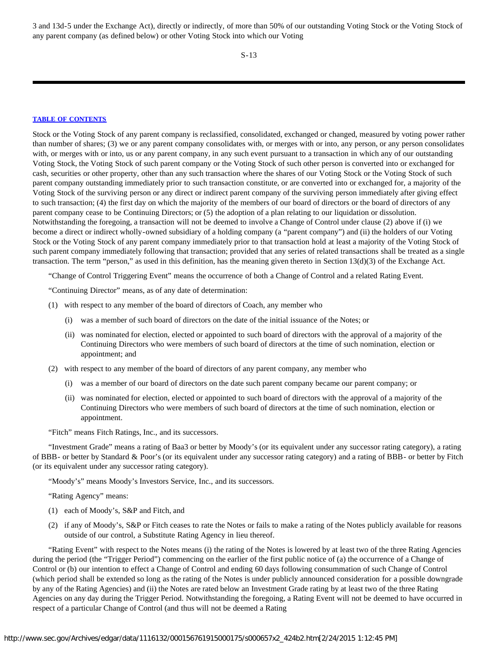3 and 13d-5 under the Exchange Act), directly or indirectly, of more than 50% of our outstanding Voting Stock or the Voting Stock of any parent company (as defined below) or other Voting Stock into which our Voting

S-13

# **[TABLE OF CONTENTS](#page-35-0)**

Stock or the Voting Stock of any parent company is reclassified, consolidated, exchanged or changed, measured by voting power rather than number of shares; (3) we or any parent company consolidates with, or merges with or into, any person, or any person consolidates with, or merges with or into, us or any parent company, in any such event pursuant to a transaction in which any of our outstanding Voting Stock, the Voting Stock of such parent company or the Voting Stock of such other person is converted into or exchanged for cash, securities or other property, other than any such transaction where the shares of our Voting Stock or the Voting Stock of such parent company outstanding immediately prior to such transaction constitute, or are converted into or exchanged for, a majority of the Voting Stock of the surviving person or any direct or indirect parent company of the surviving person immediately after giving effect to such transaction; (4) the first day on which the majority of the members of our board of directors or the board of directors of any parent company cease to be Continuing Directors; or (5) the adoption of a plan relating to our liquidation or dissolution. Notwithstanding the foregoing, a transaction will not be deemed to involve a Change of Control under clause (2) above if (i) we become a direct or indirect wholly-owned subsidiary of a holding company (a "parent company") and (ii) the holders of our Voting Stock or the Voting Stock of any parent company immediately prior to that transaction hold at least a majority of the Voting Stock of such parent company immediately following that transaction; provided that any series of related transactions shall be treated as a single transaction. The term "person," as used in this definition, has the meaning given thereto in Section 13(d)(3) of the Exchange Act.

"Change of Control Triggering Event" means the occurrence of both a Change of Control and a related Rating Event.

"Continuing Director" means, as of any date of determination:

- (1) with respect to any member of the board of directors of Coach, any member who
	- (i) was a member of such board of directors on the date of the initial issuance of the Notes; or
	- (ii) was nominated for election, elected or appointed to such board of directors with the approval of a majority of the Continuing Directors who were members of such board of directors at the time of such nomination, election or appointment; and
- (2) with respect to any member of the board of directors of any parent company, any member who
	- (i) was a member of our board of directors on the date such parent company became our parent company; or
	- (ii) was nominated for election, elected or appointed to such board of directors with the approval of a majority of the Continuing Directors who were members of such board of directors at the time of such nomination, election or appointment.

"Fitch" means Fitch Ratings, Inc., and its successors.

"Investment Grade" means a rating of Baa3 or better by Moody's (or its equivalent under any successor rating category), a rating of BBB- or better by Standard & Poor's (or its equivalent under any successor rating category) and a rating of BBB- or better by Fitch (or its equivalent under any successor rating category).

"Moody's" means Moody's Investors Service, Inc., and its successors.

"Rating Agency" means:

- (1) each of Moody's, S&P and Fitch, and
- (2) if any of Moody's, S&P or Fitch ceases to rate the Notes or fails to make a rating of the Notes publicly available for reasons outside of our control, a Substitute Rating Agency in lieu thereof.

"Rating Event" with respect to the Notes means (i) the rating of the Notes is lowered by at least two of the three Rating Agencies during the period (the "Trigger Period") commencing on the earlier of the first public notice of (a) the occurrence of a Change of Control or (b) our intention to effect a Change of Control and ending 60 days following consummation of such Change of Control (which period shall be extended so long as the rating of the Notes is under publicly announced consideration for a possible downgrade by any of the Rating Agencies) and (ii) the Notes are rated below an Investment Grade rating by at least two of the three Rating Agencies on any day during the Trigger Period. Notwithstanding the foregoing, a Rating Event will not be deemed to have occurred in respect of a particular Change of Control (and thus will not be deemed a Rating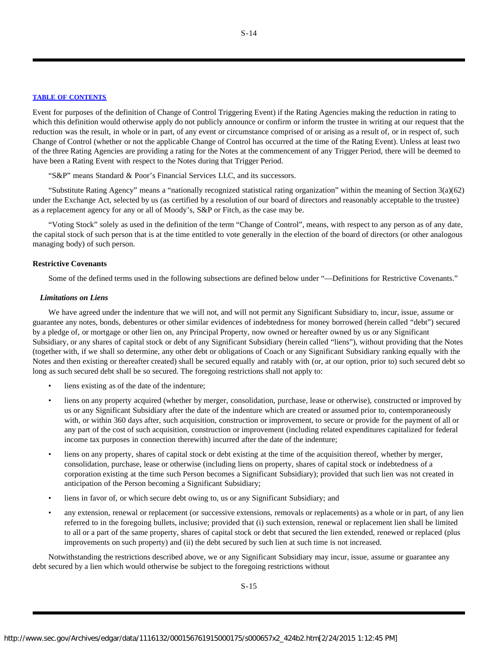Event for purposes of the definition of Change of Control Triggering Event) if the Rating Agencies making the reduction in rating to which this definition would otherwise apply do not publicly announce or confirm or inform the trustee in writing at our request that the reduction was the result, in whole or in part, of any event or circumstance comprised of or arising as a result of, or in respect of, such Change of Control (whether or not the applicable Change of Control has occurred at the time of the Rating Event). Unless at least two of the three Rating Agencies are providing a rating for the Notes at the commencement of any Trigger Period, there will be deemed to have been a Rating Event with respect to the Notes during that Trigger Period.

"S&P" means Standard & Poor's Financial Services LLC, and its successors.

"Substitute Rating Agency" means a "nationally recognized statistical rating organization" within the meaning of Section 3(a)(62) under the Exchange Act, selected by us (as certified by a resolution of our board of directors and reasonably acceptable to the trustee) as a replacement agency for any or all of Moody's, S&P or Fitch, as the case may be.

"Voting Stock" solely as used in the definition of the term "Change of Control", means, with respect to any person as of any date, the capital stock of such person that is at the time entitled to vote generally in the election of the board of directors (or other analogous managing body) of such person.

# **Restrictive Covenants**

Some of the defined terms used in the following subsections are defined below under "—Definitions for Restrictive Covenants."

# *Limitations on Liens*

We have agreed under the indenture that we will not, and will not permit any Significant Subsidiary to, incur, issue, assume or guarantee any notes, bonds, debentures or other similar evidences of indebtedness for money borrowed (herein called "debt") secured by a pledge of, or mortgage or other lien on, any Principal Property, now owned or hereafter owned by us or any Significant Subsidiary, or any shares of capital stock or debt of any Significant Subsidiary (herein called "liens"), without providing that the Notes (together with, if we shall so determine, any other debt or obligations of Coach or any Significant Subsidiary ranking equally with the Notes and then existing or thereafter created) shall be secured equally and ratably with (or, at our option, prior to) such secured debt so long as such secured debt shall be so secured. The foregoing restrictions shall not apply to:

- liens existing as of the date of the indenture;
- liens on any property acquired (whether by merger, consolidation, purchase, lease or otherwise), constructed or improved by us or any Significant Subsidiary after the date of the indenture which are created or assumed prior to, contemporaneously with, or within 360 days after, such acquisition, construction or improvement, to secure or provide for the payment of all or any part of the cost of such acquisition, construction or improvement (including related expenditures capitalized for federal income tax purposes in connection therewith) incurred after the date of the indenture;
- liens on any property, shares of capital stock or debt existing at the time of the acquisition thereof, whether by merger, consolidation, purchase, lease or otherwise (including liens on property, shares of capital stock or indebtedness of a corporation existing at the time such Person becomes a Significant Subsidiary); provided that such lien was not created in anticipation of the Person becoming a Significant Subsidiary;
- liens in favor of, or which secure debt owing to, us or any Significant Subsidiary; and
- any extension, renewal or replacement (or successive extensions, removals or replacements) as a whole or in part, of any lien referred to in the foregoing bullets, inclusive; provided that (i) such extension, renewal or replacement lien shall be limited to all or a part of the same property, shares of capital stock or debt that secured the lien extended, renewed or replaced (plus improvements on such property) and (ii) the debt secured by such lien at such time is not increased.

Notwithstanding the restrictions described above, we or any Significant Subsidiary may incur, issue, assume or guarantee any debt secured by a lien which would otherwise be subject to the foregoing restrictions without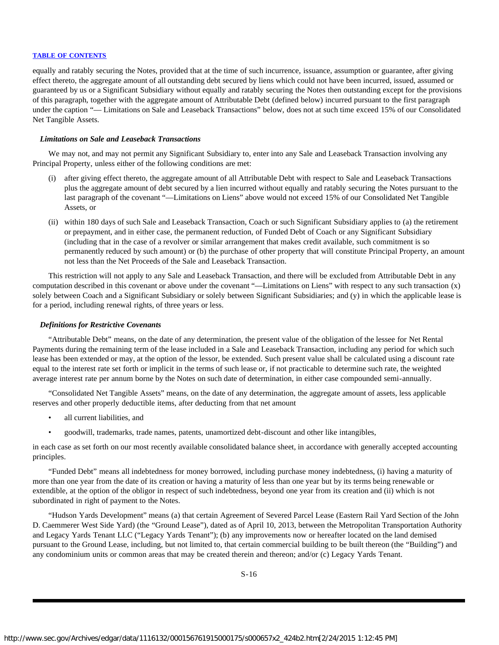equally and ratably securing the Notes, provided that at the time of such incurrence, issuance, assumption or guarantee, after giving effect thereto, the aggregate amount of all outstanding debt secured by liens which could not have been incurred, issued, assumed or guaranteed by us or a Significant Subsidiary without equally and ratably securing the Notes then outstanding except for the provisions of this paragraph, together with the aggregate amount of Attributable Debt (defined below) incurred pursuant to the first paragraph under the caption "— Limitations on Sale and Leaseback Transactions" below, does not at such time exceed 15% of our Consolidated Net Tangible Assets.

# *Limitations on Sale and Leaseback Transactions*

We may not, and may not permit any Significant Subsidiary to, enter into any Sale and Leaseback Transaction involving any Principal Property, unless either of the following conditions are met:

- (i) after giving effect thereto, the aggregate amount of all Attributable Debt with respect to Sale and Leaseback Transactions plus the aggregate amount of debt secured by a lien incurred without equally and ratably securing the Notes pursuant to the last paragraph of the covenant "—Limitations on Liens" above would not exceed 15% of our Consolidated Net Tangible Assets, or
- (ii) within 180 days of such Sale and Leaseback Transaction, Coach or such Significant Subsidiary applies to (a) the retirement or prepayment, and in either case, the permanent reduction, of Funded Debt of Coach or any Significant Subsidiary (including that in the case of a revolver or similar arrangement that makes credit available, such commitment is so permanently reduced by such amount) or (b) the purchase of other property that will constitute Principal Property, an amount not less than the Net Proceeds of the Sale and Leaseback Transaction.

This restriction will not apply to any Sale and Leaseback Transaction, and there will be excluded from Attributable Debt in any computation described in this covenant or above under the covenant "—Limitations on Liens" with respect to any such transaction (x) solely between Coach and a Significant Subsidiary or solely between Significant Subsidiaries; and (y) in which the applicable lease is for a period, including renewal rights, of three years or less.

#### *Definitions for Restrictive Covenants*

"Attributable Debt" means, on the date of any determination, the present value of the obligation of the lessee for Net Rental Payments during the remaining term of the lease included in a Sale and Leaseback Transaction, including any period for which such lease has been extended or may, at the option of the lessor, be extended. Such present value shall be calculated using a discount rate equal to the interest rate set forth or implicit in the terms of such lease or, if not practicable to determine such rate, the weighted average interest rate per annum borne by the Notes on such date of determination, in either case compounded semi-annually.

"Consolidated Net Tangible Assets" means, on the date of any determination, the aggregate amount of assets, less applicable reserves and other properly deductible items, after deducting from that net amount

- all current liabilities, and
- goodwill, trademarks, trade names, patents, unamortized debt-discount and other like intangibles,

in each case as set forth on our most recently available consolidated balance sheet, in accordance with generally accepted accounting principles.

"Funded Debt" means all indebtedness for money borrowed, including purchase money indebtedness, (i) having a maturity of more than one year from the date of its creation or having a maturity of less than one year but by its terms being renewable or extendible, at the option of the obligor in respect of such indebtedness, beyond one year from its creation and (ii) which is not subordinated in right of payment to the Notes.

"Hudson Yards Development" means (a) that certain Agreement of Severed Parcel Lease (Eastern Rail Yard Section of the John D. Caemmerer West Side Yard) (the "Ground Lease"), dated as of April 10, 2013, between the Metropolitan Transportation Authority and Legacy Yards Tenant LLC ("Legacy Yards Tenant"); (b) any improvements now or hereafter located on the land demised pursuant to the Ground Lease, including, but not limited to, that certain commercial building to be built thereon (the "Building") and any condominium units or common areas that may be created therein and thereon; and/or (c) Legacy Yards Tenant.

S-16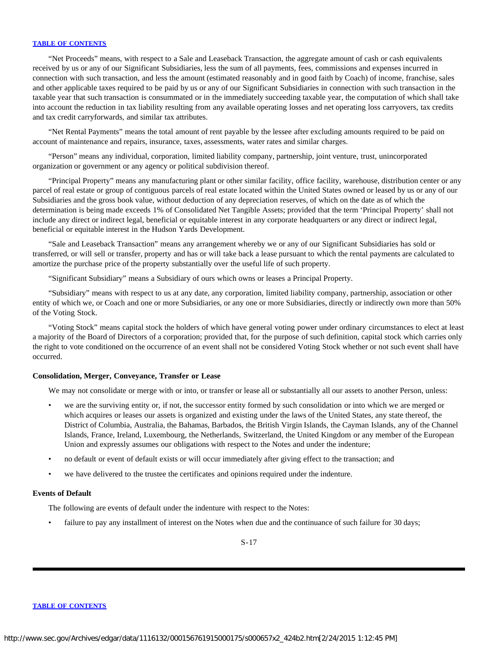"Net Proceeds" means, with respect to a Sale and Leaseback Transaction, the aggregate amount of cash or cash equivalents received by us or any of our Significant Subsidiaries, less the sum of all payments, fees, commissions and expenses incurred in connection with such transaction, and less the amount (estimated reasonably and in good faith by Coach) of income, franchise, sales and other applicable taxes required to be paid by us or any of our Significant Subsidiaries in connection with such transaction in the taxable year that such transaction is consummated or in the immediately succeeding taxable year, the computation of which shall take into account the reduction in tax liability resulting from any available operating losses and net operating loss carryovers, tax credits and tax credit carryforwards, and similar tax attributes.

"Net Rental Payments" means the total amount of rent payable by the lessee after excluding amounts required to be paid on account of maintenance and repairs, insurance, taxes, assessments, water rates and similar charges.

"Person" means any individual, corporation, limited liability company, partnership, joint venture, trust, unincorporated organization or government or any agency or political subdivision thereof.

"Principal Property" means any manufacturing plant or other similar facility, office facility, warehouse, distribution center or any parcel of real estate or group of contiguous parcels of real estate located within the United States owned or leased by us or any of our Subsidiaries and the gross book value, without deduction of any depreciation reserves, of which on the date as of which the determination is being made exceeds 1% of Consolidated Net Tangible Assets; provided that the term 'Principal Property' shall not include any direct or indirect legal, beneficial or equitable interest in any corporate headquarters or any direct or indirect legal, beneficial or equitable interest in the Hudson Yards Development.

"Sale and Leaseback Transaction" means any arrangement whereby we or any of our Significant Subsidiaries has sold or transferred, or will sell or transfer, property and has or will take back a lease pursuant to which the rental payments are calculated to amortize the purchase price of the property substantially over the useful life of such property.

"Significant Subsidiary" means a Subsidiary of ours which owns or leases a Principal Property.

"Subsidiary" means with respect to us at any date, any corporation, limited liability company, partnership, association or other entity of which we, or Coach and one or more Subsidiaries, or any one or more Subsidiaries, directly or indirectly own more than 50% of the Voting Stock.

"Voting Stock" means capital stock the holders of which have general voting power under ordinary circumstances to elect at least a majority of the Board of Directors of a corporation; provided that, for the purpose of such definition, capital stock which carries only the right to vote conditioned on the occurrence of an event shall not be considered Voting Stock whether or not such event shall have occurred.

# **Consolidation, Merger, Conveyance, Transfer or Lease**

We may not consolidate or merge with or into, or transfer or lease all or substantially all our assets to another Person, unless:

- we are the surviving entity or, if not, the successor entity formed by such consolidation or into which we are merged or which acquires or leases our assets is organized and existing under the laws of the United States, any state thereof, the District of Columbia, Australia, the Bahamas, Barbados, the British Virgin Islands, the Cayman Islands, any of the Channel Islands, France, Ireland, Luxembourg, the Netherlands, Switzerland, the United Kingdom or any member of the European Union and expressly assumes our obligations with respect to the Notes and under the indenture;
- no default or event of default exists or will occur immediately after giving effect to the transaction; and
- we have delivered to the trustee the certificates and opinions required under the indenture.

#### **Events of Default**

The following are events of default under the indenture with respect to the Notes:

failure to pay any installment of interest on the Notes when due and the continuance of such failure for 30 days;

S-17

#### **[TABLE OF CONTENTS](#page-35-0)**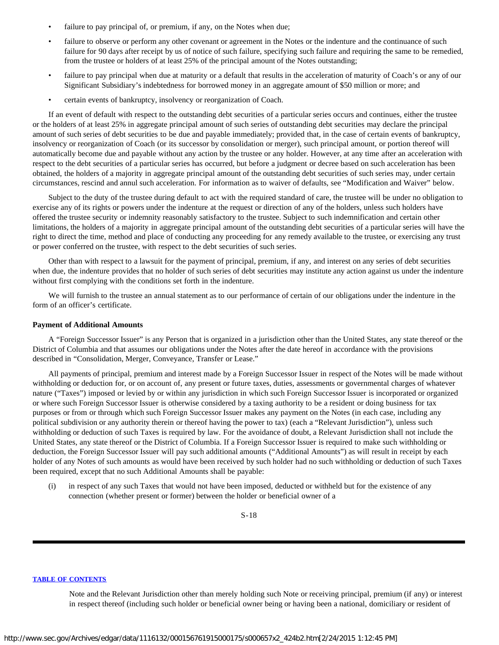- failure to pay principal of, or premium, if any, on the Notes when due;
- failure to observe or perform any other covenant or agreement in the Notes or the indenture and the continuance of such failure for 90 days after receipt by us of notice of such failure, specifying such failure and requiring the same to be remedied, from the trustee or holders of at least 25% of the principal amount of the Notes outstanding;
- failure to pay principal when due at maturity or a default that results in the acceleration of maturity of Coach's or any of our Significant Subsidiary's indebtedness for borrowed money in an aggregate amount of \$50 million or more; and
- certain events of bankruptcy, insolvency or reorganization of Coach.

If an event of default with respect to the outstanding debt securities of a particular series occurs and continues, either the trustee or the holders of at least 25% in aggregate principal amount of such series of outstanding debt securities may declare the principal amount of such series of debt securities to be due and payable immediately; provided that, in the case of certain events of bankruptcy, insolvency or reorganization of Coach (or its successor by consolidation or merger), such principal amount, or portion thereof will automatically become due and payable without any action by the trustee or any holder. However, at any time after an acceleration with respect to the debt securities of a particular series has occurred, but before a judgment or decree based on such acceleration has been obtained, the holders of a majority in aggregate principal amount of the outstanding debt securities of such series may, under certain circumstances, rescind and annul such acceleration. For information as to waiver of defaults, see "Modification and Waiver" below.

Subject to the duty of the trustee during default to act with the required standard of care, the trustee will be under no obligation to exercise any of its rights or powers under the indenture at the request or direction of any of the holders, unless such holders have offered the trustee security or indemnity reasonably satisfactory to the trustee. Subject to such indemnification and certain other limitations, the holders of a majority in aggregate principal amount of the outstanding debt securities of a particular series will have the right to direct the time, method and place of conducting any proceeding for any remedy available to the trustee, or exercising any trust or power conferred on the trustee, with respect to the debt securities of such series.

Other than with respect to a lawsuit for the payment of principal, premium, if any, and interest on any series of debt securities when due, the indenture provides that no holder of such series of debt securities may institute any action against us under the indenture without first complying with the conditions set forth in the indenture.

We will furnish to the trustee an annual statement as to our performance of certain of our obligations under the indenture in the form of an officer's certificate.

# **Payment of Additional Amounts**

A "Foreign Successor Issuer" is any Person that is organized in a jurisdiction other than the United States, any state thereof or the District of Columbia and that assumes our obligations under the Notes after the date hereof in accordance with the provisions described in "Consolidation, Merger, Conveyance, Transfer or Lease."

All payments of principal, premium and interest made by a Foreign Successor Issuer in respect of the Notes will be made without withholding or deduction for, or on account of, any present or future taxes, duties, assessments or governmental charges of whatever nature ("Taxes") imposed or levied by or within any jurisdiction in which such Foreign Successor Issuer is incorporated or organized or where such Foreign Successor Issuer is otherwise considered by a taxing authority to be a resident or doing business for tax purposes or from or through which such Foreign Successor Issuer makes any payment on the Notes (in each case, including any political subdivision or any authority therein or thereof having the power to tax) (each a "Relevant Jurisdiction"), unless such withholding or deduction of such Taxes is required by law. For the avoidance of doubt, a Relevant Jurisdiction shall not include the United States, any state thereof or the District of Columbia. If a Foreign Successor Issuer is required to make such withholding or deduction, the Foreign Successor Issuer will pay such additional amounts ("Additional Amounts") as will result in receipt by each holder of any Notes of such amounts as would have been received by such holder had no such withholding or deduction of such Taxes been required, except that no such Additional Amounts shall be payable:

(i) in respect of any such Taxes that would not have been imposed, deducted or withheld but for the existence of any connection (whether present or former) between the holder or beneficial owner of a

S-18

# **[TABLE OF CONTENTS](#page-35-0)**

Note and the Relevant Jurisdiction other than merely holding such Note or receiving principal, premium (if any) or interest in respect thereof (including such holder or beneficial owner being or having been a national, domiciliary or resident of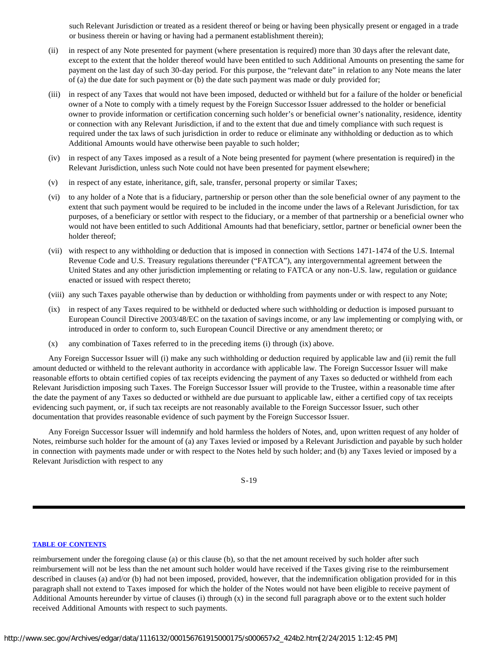such Relevant Jurisdiction or treated as a resident thereof or being or having been physically present or engaged in a trade or business therein or having or having had a permanent establishment therein);

- (ii) in respect of any Note presented for payment (where presentation is required) more than 30 days after the relevant date, except to the extent that the holder thereof would have been entitled to such Additional Amounts on presenting the same for payment on the last day of such 30-day period. For this purpose, the "relevant date" in relation to any Note means the later of (a) the due date for such payment or (b) the date such payment was made or duly provided for;
- (iii) in respect of any Taxes that would not have been imposed, deducted or withheld but for a failure of the holder or beneficial owner of a Note to comply with a timely request by the Foreign Successor Issuer addressed to the holder or beneficial owner to provide information or certification concerning such holder's or beneficial owner's nationality, residence, identity or connection with any Relevant Jurisdiction, if and to the extent that due and timely compliance with such request is required under the tax laws of such jurisdiction in order to reduce or eliminate any withholding or deduction as to which Additional Amounts would have otherwise been payable to such holder;
- (iv) in respect of any Taxes imposed as a result of a Note being presented for payment (where presentation is required) in the Relevant Jurisdiction, unless such Note could not have been presented for payment elsewhere;
- (v) in respect of any estate, inheritance, gift, sale, transfer, personal property or similar Taxes;
- (vi) to any holder of a Note that is a fiduciary, partnership or person other than the sole beneficial owner of any payment to the extent that such payment would be required to be included in the income under the laws of a Relevant Jurisdiction, for tax purposes, of a beneficiary or settlor with respect to the fiduciary, or a member of that partnership or a beneficial owner who would not have been entitled to such Additional Amounts had that beneficiary, settlor, partner or beneficial owner been the holder thereof;
- (vii) with respect to any withholding or deduction that is imposed in connection with Sections 1471-1474 of the U.S. Internal Revenue Code and U.S. Treasury regulations thereunder ("FATCA"), any intergovernmental agreement between the United States and any other jurisdiction implementing or relating to FATCA or any non-U.S. law, regulation or guidance enacted or issued with respect thereto;
- (viii) any such Taxes payable otherwise than by deduction or withholding from payments under or with respect to any Note;
- (ix) in respect of any Taxes required to be withheld or deducted where such withholding or deduction is imposed pursuant to European Council Directive 2003/48/EC on the taxation of savings income, or any law implementing or complying with, or introduced in order to conform to, such European Council Directive or any amendment thereto; or
- (x) any combination of Taxes referred to in the preceding items (i) through (ix) above.

Any Foreign Successor Issuer will (i) make any such withholding or deduction required by applicable law and (ii) remit the full amount deducted or withheld to the relevant authority in accordance with applicable law. The Foreign Successor Issuer will make reasonable efforts to obtain certified copies of tax receipts evidencing the payment of any Taxes so deducted or withheld from each Relevant Jurisdiction imposing such Taxes. The Foreign Successor Issuer will provide to the Trustee, within a reasonable time after the date the payment of any Taxes so deducted or withheld are due pursuant to applicable law, either a certified copy of tax receipts evidencing such payment, or, if such tax receipts are not reasonably available to the Foreign Successor Issuer, such other documentation that provides reasonable evidence of such payment by the Foreign Successor Issuer.

Any Foreign Successor Issuer will indemnify and hold harmless the holders of Notes, and, upon written request of any holder of Notes, reimburse such holder for the amount of (a) any Taxes levied or imposed by a Relevant Jurisdiction and payable by such holder in connection with payments made under or with respect to the Notes held by such holder; and (b) any Taxes levied or imposed by a Relevant Jurisdiction with respect to any

S-19

#### **[TABLE OF CONTENTS](#page-35-0)**

reimbursement under the foregoing clause (a) or this clause (b), so that the net amount received by such holder after such reimbursement will not be less than the net amount such holder would have received if the Taxes giving rise to the reimbursement described in clauses (a) and/or (b) had not been imposed, provided, however, that the indemnification obligation provided for in this paragraph shall not extend to Taxes imposed for which the holder of the Notes would not have been eligible to receive payment of Additional Amounts hereunder by virtue of clauses (i) through (x) in the second full paragraph above or to the extent such holder received Additional Amounts with respect to such payments.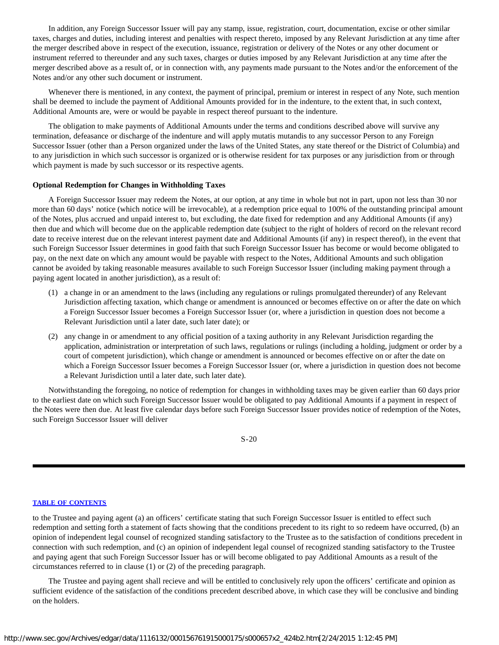In addition, any Foreign Successor Issuer will pay any stamp, issue, registration, court, documentation, excise or other similar taxes, charges and duties, including interest and penalties with respect thereto, imposed by any Relevant Jurisdiction at any time after the merger described above in respect of the execution, issuance, registration or delivery of the Notes or any other document or instrument referred to thereunder and any such taxes, charges or duties imposed by any Relevant Jurisdiction at any time after the merger described above as a result of, or in connection with, any payments made pursuant to the Notes and/or the enforcement of the Notes and/or any other such document or instrument.

Whenever there is mentioned, in any context, the payment of principal, premium or interest in respect of any Note, such mention shall be deemed to include the payment of Additional Amounts provided for in the indenture, to the extent that, in such context, Additional Amounts are, were or would be payable in respect thereof pursuant to the indenture.

The obligation to make payments of Additional Amounts under the terms and conditions described above will survive any termination, defeasance or discharge of the indenture and will apply mutatis mutandis to any successor Person to any Foreign Successor Issuer (other than a Person organized under the laws of the United States, any state thereof or the District of Columbia) and to any jurisdiction in which such successor is organized or is otherwise resident for tax purposes or any jurisdiction from or through which payment is made by such successor or its respective agents.

#### **Optional Redemption for Changes in Withholding Taxes**

A Foreign Successor Issuer may redeem the Notes, at our option, at any time in whole but not in part, upon not less than 30 nor more than 60 days' notice (which notice will be irrevocable), at a redemption price equal to 100% of the outstanding principal amount of the Notes, plus accrued and unpaid interest to, but excluding, the date fixed for redemption and any Additional Amounts (if any) then due and which will become due on the applicable redemption date (subject to the right of holders of record on the relevant record date to receive interest due on the relevant interest payment date and Additional Amounts (if any) in respect thereof), in the event that such Foreign Successor Issuer determines in good faith that such Foreign Successor Issuer has become or would become obligated to pay, on the next date on which any amount would be payable with respect to the Notes, Additional Amounts and such obligation cannot be avoided by taking reasonable measures available to such Foreign Successor Issuer (including making payment through a paying agent located in another jurisdiction), as a result of:

- (1) a change in or an amendment to the laws (including any regulations or rulings promulgated thereunder) of any Relevant Jurisdiction affecting taxation, which change or amendment is announced or becomes effective on or after the date on which a Foreign Successor Issuer becomes a Foreign Successor Issuer (or, where a jurisdiction in question does not become a Relevant Jurisdiction until a later date, such later date); or
- (2) any change in or amendment to any official position of a taxing authority in any Relevant Jurisdiction regarding the application, administration or interpretation of such laws, regulations or rulings (including a holding, judgment or order by a court of competent jurisdiction), which change or amendment is announced or becomes effective on or after the date on which a Foreign Successor Issuer becomes a Foreign Successor Issuer (or, where a jurisdiction in question does not become a Relevant Jurisdiction until a later date, such later date).

Notwithstanding the foregoing, no notice of redemption for changes in withholding taxes may be given earlier than 60 days prior to the earliest date on which such Foreign Successor Issuer would be obligated to pay Additional Amounts if a payment in respect of the Notes were then due. At least five calendar days before such Foreign Successor Issuer provides notice of redemption of the Notes, such Foreign Successor Issuer will deliver

S-20

#### **[TABLE OF CONTENTS](#page-35-0)**

to the Trustee and paying agent (a) an officers' certificate stating that such Foreign Successor Issuer is entitled to effect such redemption and setting forth a statement of facts showing that the conditions precedent to its right to so redeem have occurred, (b) an opinion of independent legal counsel of recognized standing satisfactory to the Trustee as to the satisfaction of conditions precedent in connection with such redemption, and (c) an opinion of independent legal counsel of recognized standing satisfactory to the Trustee and paying agent that such Foreign Successor Issuer has or will become obligated to pay Additional Amounts as a result of the circumstances referred to in clause (1) or (2) of the preceding paragraph.

The Trustee and paying agent shall recieve and will be entitled to conclusively rely upon the officers' certificate and opinion as sufficient evidence of the satisfaction of the conditions precedent described above, in which case they will be conclusive and binding on the holders.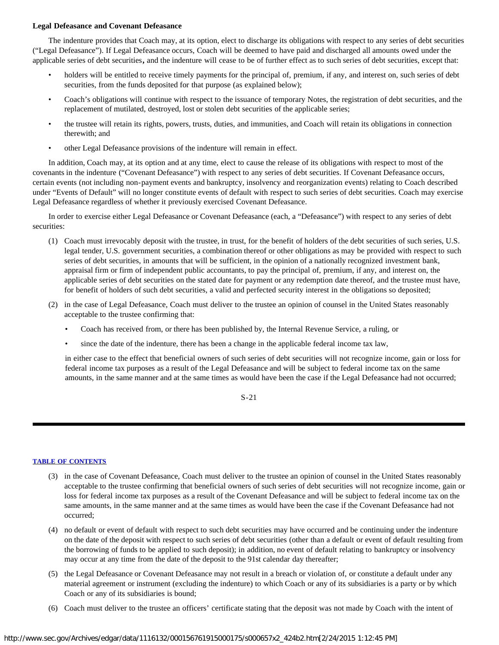# **Legal Defeasance and Covenant Defeasance**

The indenture provides that Coach may, at its option, elect to discharge its obligations with respect to any series of debt securities ("Legal Defeasance"). If Legal Defeasance occurs, Coach will be deemed to have paid and discharged all amounts owed under the applicable series of debt securities**,** and the indenture will cease to be of further effect as to such series of debt securities, except that:

- holders will be entitled to receive timely payments for the principal of, premium, if any, and interest on, such series of debt securities, from the funds deposited for that purpose (as explained below);
- Coach's obligations will continue with respect to the issuance of temporary Notes, the registration of debt securities, and the replacement of mutilated, destroyed, lost or stolen debt securities of the applicable series;
- the trustee will retain its rights, powers, trusts, duties, and immunities, and Coach will retain its obligations in connection therewith; and
- other Legal Defeasance provisions of the indenture will remain in effect.

In addition, Coach may, at its option and at any time, elect to cause the release of its obligations with respect to most of the covenants in the indenture ("Covenant Defeasance") with respect to any series of debt securities. If Covenant Defeasance occurs, certain events (not including non-payment events and bankruptcy, insolvency and reorganization events) relating to Coach described under "Events of Default" will no longer constitute events of default with respect to such series of debt securities. Coach may exercise Legal Defeasance regardless of whether it previously exercised Covenant Defeasance.

In order to exercise either Legal Defeasance or Covenant Defeasance (each, a "Defeasance") with respect to any series of debt securities:

- (1) Coach must irrevocably deposit with the trustee, in trust, for the benefit of holders of the debt securities of such series, U.S. legal tender, U.S. government securities, a combination thereof or other obligations as may be provided with respect to such series of debt securities, in amounts that will be sufficient, in the opinion of a nationally recognized investment bank, appraisal firm or firm of independent public accountants, to pay the principal of, premium, if any, and interest on, the applicable series of debt securities on the stated date for payment or any redemption date thereof, and the trustee must have, for benefit of holders of such debt securities, a valid and perfected security interest in the obligations so deposited;
- (2) in the case of Legal Defeasance, Coach must deliver to the trustee an opinion of counsel in the United States reasonably acceptable to the trustee confirming that:
	- Coach has received from, or there has been published by, the Internal Revenue Service, a ruling, or
	- since the date of the indenture, there has been a change in the applicable federal income tax law,

in either case to the effect that beneficial owners of such series of debt securities will not recognize income, gain or loss for federal income tax purposes as a result of the Legal Defeasance and will be subject to federal income tax on the same amounts, in the same manner and at the same times as would have been the case if the Legal Defeasance had not occurred;

S-21

# **[TABLE OF CONTENTS](#page-35-0)**

- (3) in the case of Covenant Defeasance, Coach must deliver to the trustee an opinion of counsel in the United States reasonably acceptable to the trustee confirming that beneficial owners of such series of debt securities will not recognize income, gain or loss for federal income tax purposes as a result of the Covenant Defeasance and will be subject to federal income tax on the same amounts, in the same manner and at the same times as would have been the case if the Covenant Defeasance had not occurred;
- (4) no default or event of default with respect to such debt securities may have occurred and be continuing under the indenture on the date of the deposit with respect to such series of debt securities (other than a default or event of default resulting from the borrowing of funds to be applied to such deposit); in addition, no event of default relating to bankruptcy or insolvency may occur at any time from the date of the deposit to the 91st calendar day thereafter;
- (5) the Legal Defeasance or Covenant Defeasance may not result in a breach or violation of, or constitute a default under any material agreement or instrument (excluding the indenture) to which Coach or any of its subsidiaries is a party or by which Coach or any of its subsidiaries is bound;
- (6) Coach must deliver to the trustee an officers' certificate stating that the deposit was not made by Coach with the intent of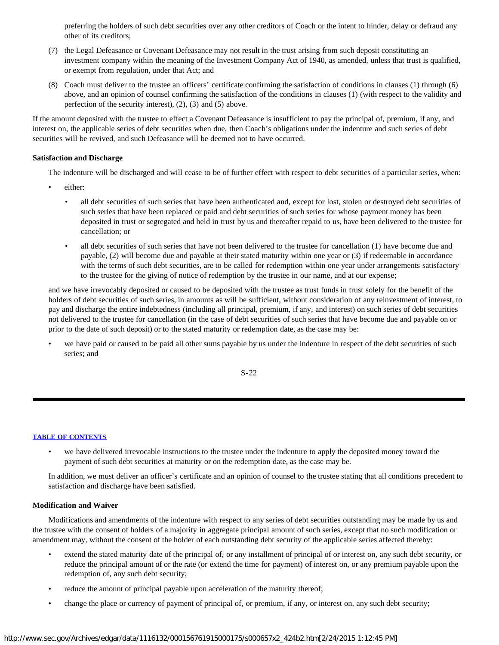preferring the holders of such debt securities over any other creditors of Coach or the intent to hinder, delay or defraud any other of its creditors;

- (7) the Legal Defeasance or Covenant Defeasance may not result in the trust arising from such deposit constituting an investment company within the meaning of the Investment Company Act of 1940, as amended, unless that trust is qualified, or exempt from regulation, under that Act; and
- (8) Coach must deliver to the trustee an officers' certificate confirming the satisfaction of conditions in clauses (1) through (6) above, and an opinion of counsel confirming the satisfaction of the conditions in clauses (1) (with respect to the validity and perfection of the security interest), (2), (3) and (5) above.

If the amount deposited with the trustee to effect a Covenant Defeasance is insufficient to pay the principal of, premium, if any, and interest on, the applicable series of debt securities when due, then Coach's obligations under the indenture and such series of debt securities will be revived, and such Defeasance will be deemed not to have occurred.

# **Satisfaction and Discharge**

The indenture will be discharged and will cease to be of further effect with respect to debt securities of a particular series, when:

- either:
	- all debt securities of such series that have been authenticated and, except for lost, stolen or destroyed debt securities of such series that have been replaced or paid and debt securities of such series for whose payment money has been deposited in trust or segregated and held in trust by us and thereafter repaid to us, have been delivered to the trustee for cancellation; or
	- all debt securities of such series that have not been delivered to the trustee for cancellation (1) have become due and payable, (2) will become due and payable at their stated maturity within one year or (3) if redeemable in accordance with the terms of such debt securities, are to be called for redemption within one year under arrangements satisfactory to the trustee for the giving of notice of redemption by the trustee in our name, and at our expense;

and we have irrevocably deposited or caused to be deposited with the trustee as trust funds in trust solely for the benefit of the holders of debt securities of such series, in amounts as will be sufficient, without consideration of any reinvestment of interest, to pay and discharge the entire indebtedness (including all principal, premium, if any, and interest) on such series of debt securities not delivered to the trustee for cancellation (in the case of debt securities of such series that have become due and payable on or prior to the date of such deposit) or to the stated maturity or redemption date, as the case may be:

we have paid or caused to be paid all other sums payable by us under the indenture in respect of the debt securities of such series; and

S-22

#### **[TABLE OF CONTENTS](#page-35-0)**

• we have delivered irrevocable instructions to the trustee under the indenture to apply the deposited money toward the payment of such debt securities at maturity or on the redemption date, as the case may be.

In addition, we must deliver an officer's certificate and an opinion of counsel to the trustee stating that all conditions precedent to satisfaction and discharge have been satisfied.

# **Modification and Waiver**

Modifications and amendments of the indenture with respect to any series of debt securities outstanding may be made by us and the trustee with the consent of holders of a majority in aggregate principal amount of such series, except that no such modification or amendment may, without the consent of the holder of each outstanding debt security of the applicable series affected thereby:

- extend the stated maturity date of the principal of, or any installment of principal of or interest on, any such debt security, or reduce the principal amount of or the rate (or extend the time for payment) of interest on, or any premium payable upon the redemption of, any such debt security;
- reduce the amount of principal payable upon acceleration of the maturity thereof;
- change the place or currency of payment of principal of, or premium, if any, or interest on, any such debt security;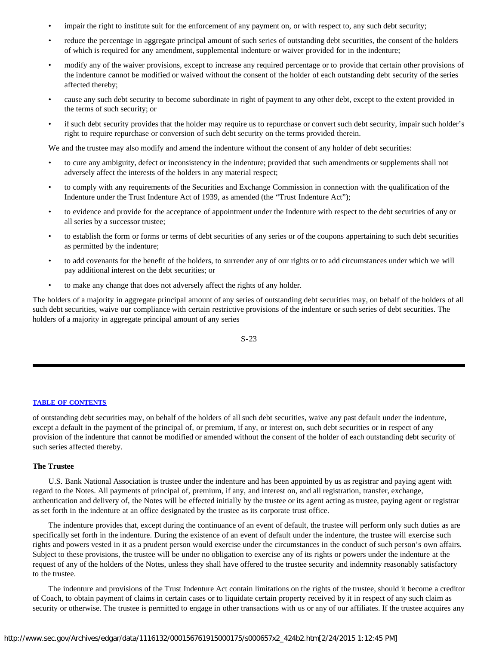- impair the right to institute suit for the enforcement of any payment on, or with respect to, any such debt security;
- reduce the percentage in aggregate principal amount of such series of outstanding debt securities, the consent of the holders of which is required for any amendment, supplemental indenture or waiver provided for in the indenture;
- modify any of the waiver provisions, except to increase any required percentage or to provide that certain other provisions of the indenture cannot be modified or waived without the consent of the holder of each outstanding debt security of the series affected thereby;
- cause any such debt security to become subordinate in right of payment to any other debt, except to the extent provided in the terms of such security; or
- if such debt security provides that the holder may require us to repurchase or convert such debt security, impair such holder's right to require repurchase or conversion of such debt security on the terms provided therein.

We and the trustee may also modify and amend the indenture without the consent of any holder of debt securities:

- to cure any ambiguity, defect or inconsistency in the indenture; provided that such amendments or supplements shall not adversely affect the interests of the holders in any material respect;
- to comply with any requirements of the Securities and Exchange Commission in connection with the qualification of the Indenture under the Trust Indenture Act of 1939, as amended (the "Trust Indenture Act");
- to evidence and provide for the acceptance of appointment under the Indenture with respect to the debt securities of any or all series by a successor trustee;
- to establish the form or forms or terms of debt securities of any series or of the coupons appertaining to such debt securities as permitted by the indenture;
- to add covenants for the benefit of the holders, to surrender any of our rights or to add circumstances under which we will pay additional interest on the debt securities; or
- to make any change that does not adversely affect the rights of any holder.

The holders of a majority in aggregate principal amount of any series of outstanding debt securities may, on behalf of the holders of all such debt securities, waive our compliance with certain restrictive provisions of the indenture or such series of debt securities. The holders of a majority in aggregate principal amount of any series

S-23

# **[TABLE OF CONTENTS](#page-35-0)**

of outstanding debt securities may, on behalf of the holders of all such debt securities, waive any past default under the indenture, except a default in the payment of the principal of, or premium, if any, or interest on, such debt securities or in respect of any provision of the indenture that cannot be modified or amended without the consent of the holder of each outstanding debt security of such series affected thereby.

#### **The Trustee**

U.S. Bank National Association is trustee under the indenture and has been appointed by us as registrar and paying agent with regard to the Notes. All payments of principal of, premium, if any, and interest on, and all registration, transfer, exchange, authentication and delivery of, the Notes will be effected initially by the trustee or its agent acting as trustee, paying agent or registrar as set forth in the indenture at an office designated by the trustee as its corporate trust office.

The indenture provides that, except during the continuance of an event of default, the trustee will perform only such duties as are specifically set forth in the indenture. During the existence of an event of default under the indenture, the trustee will exercise such rights and powers vested in it as a prudent person would exercise under the circumstances in the conduct of such person's own affairs. Subject to these provisions, the trustee will be under no obligation to exercise any of its rights or powers under the indenture at the request of any of the holders of the Notes, unless they shall have offered to the trustee security and indemnity reasonably satisfactory to the trustee.

The indenture and provisions of the Trust Indenture Act contain limitations on the rights of the trustee, should it become a creditor of Coach, to obtain payment of claims in certain cases or to liquidate certain property received by it in respect of any such claim as security or otherwise. The trustee is permitted to engage in other transactions with us or any of our affiliates. If the trustee acquires any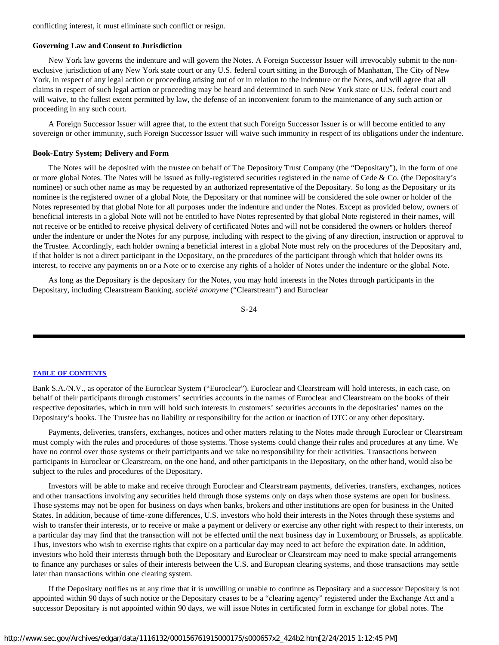conflicting interest, it must eliminate such conflict or resign.

#### **Governing Law and Consent to Jurisdiction**

New York law governs the indenture and will govern the Notes. A Foreign Successor Issuer will irrevocably submit to the nonexclusive jurisdiction of any New York state court or any U.S. federal court sitting in the Borough of Manhattan, The City of New York, in respect of any legal action or proceeding arising out of or in relation to the indenture or the Notes, and will agree that all claims in respect of such legal action or proceeding may be heard and determined in such New York state or U.S. federal court and will waive, to the fullest extent permitted by law, the defense of an inconvenient forum to the maintenance of any such action or proceeding in any such court.

A Foreign Successor Issuer will agree that, to the extent that such Foreign Successor Issuer is or will become entitled to any sovereign or other immunity, such Foreign Successor Issuer will waive such immunity in respect of its obligations under the indenture.

#### **Book-Entry System; Delivery and Form**

The Notes will be deposited with the trustee on behalf of The Depository Trust Company (the "Depositary"), in the form of one or more global Notes. The Notes will be issued as fully-registered securities registered in the name of Cede & Co. (the Depositary's nominee) or such other name as may be requested by an authorized representative of the Depositary. So long as the Depositary or its nominee is the registered owner of a global Note, the Depositary or that nominee will be considered the sole owner or holder of the Notes represented by that global Note for all purposes under the indenture and under the Notes. Except as provided below, owners of beneficial interests in a global Note will not be entitled to have Notes represented by that global Note registered in their names, will not receive or be entitled to receive physical delivery of certificated Notes and will not be considered the owners or holders thereof under the indenture or under the Notes for any purpose, including with respect to the giving of any direction, instruction or approval to the Trustee. Accordingly, each holder owning a beneficial interest in a global Note must rely on the procedures of the Depositary and, if that holder is not a direct participant in the Depositary, on the procedures of the participant through which that holder owns its interest, to receive any payments on or a Note or to exercise any rights of a holder of Notes under the indenture or the global Note.

As long as the Depositary is the depositary for the Notes, you may hold interests in the Notes through participants in the Depositary, including Clearstream Banking, *société anonyme* ("Clearstream") and Euroclear

$$
S-24
$$

#### **[TABLE OF CONTENTS](#page-35-0)**

Bank S.A./N.V., as operator of the Euroclear System ("Euroclear"). Euroclear and Clearstream will hold interests, in each case, on behalf of their participants through customers' securities accounts in the names of Euroclear and Clearstream on the books of their respective depositaries, which in turn will hold such interests in customers' securities accounts in the depositaries' names on the Depositary's books. The Trustee has no liability or responsibility for the action or inaction of DTC or any other depositary.

Payments, deliveries, transfers, exchanges, notices and other matters relating to the Notes made through Euroclear or Clearstream must comply with the rules and procedures of those systems. Those systems could change their rules and procedures at any time. We have no control over those systems or their participants and we take no responsibility for their activities. Transactions between participants in Euroclear or Clearstream, on the one hand, and other participants in the Depositary, on the other hand, would also be subject to the rules and procedures of the Depositary.

Investors will be able to make and receive through Euroclear and Clearstream payments, deliveries, transfers, exchanges, notices and other transactions involving any securities held through those systems only on days when those systems are open for business. Those systems may not be open for business on days when banks, brokers and other institutions are open for business in the United States. In addition, because of time-zone differences, U.S. investors who hold their interests in the Notes through these systems and wish to transfer their interests, or to receive or make a payment or delivery or exercise any other right with respect to their interests, on a particular day may find that the transaction will not be effected until the next business day in Luxembourg or Brussels, as applicable. Thus, investors who wish to exercise rights that expire on a particular day may need to act before the expiration date. In addition, investors who hold their interests through both the Depositary and Euroclear or Clearstream may need to make special arrangements to finance any purchases or sales of their interests between the U.S. and European clearing systems, and those transactions may settle later than transactions within one clearing system.

If the Depositary notifies us at any time that it is unwilling or unable to continue as Depositary and a successor Depositary is not appointed within 90 days of such notice or the Depositary ceases to be a "clearing agency" registered under the Exchange Act and a successor Depositary is not appointed within 90 days, we will issue Notes in certificated form in exchange for global notes. The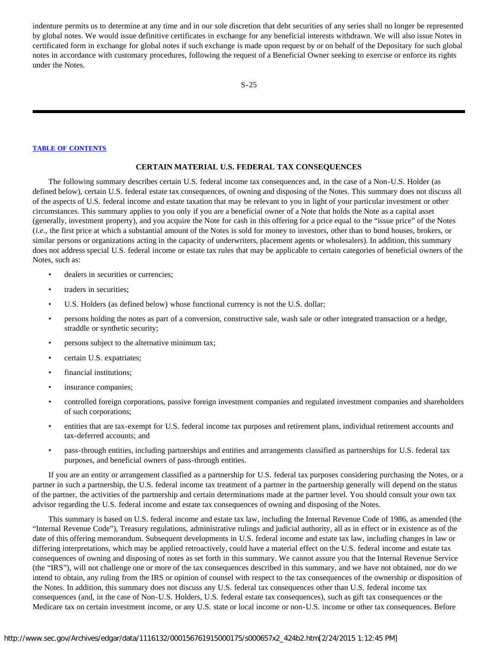indenture permits us to determine at any time and in our sole discretion that debt securities of any series shall no longer be represented by global notes. We would issue definitive certificates in exchange for any beneficial interests withdrawn. We will also issue Notes in certificated form in exchange for global notes if such exchange is made upon request by or on behalf of the Depositary for such global notes in accordance with customary procedures, following the request of a Beneficial Owner seeking to exercise or enforce its rights under the Notes.

#### **[TABLE OF CONTENTS](#page-35-0)**

#### **CERTAIN MATERIAL U.S. FEDERAL TAX CONSEQUENCES**

<span id="page-26-0"></span>The following summary describes certain U.S. federal income tax consequences and, in the case of a Non-U.S. Holder (as defined below), certain U.S. federal estate tax consequences, of owning and disposing of the Notes. This summary does not discuss all of the aspects of U.S. federal income and estate taxation that may be relevant to you in light of your particular investment or other circumstances. This summary applies to you only if you are a beneficial owner of a Note that holds the Note as a capital asset (generally, investment property), and you acquire the Note for cash in this offering for a price equal to the "issue price" of the Notes (*i.e.*, the first price at which a substantial amount of the Notes is sold for money to investors, other than to bond houses, brokers, or similar persons or organizations acting in the capacity of underwriters, placement agents or wholesalers). In addition, this summary does not address special U.S. federal income or estate tax rules that may be applicable to certain categories of beneficial owners of the Notes, such as:

- dealers in securities or currencies;
- traders in securities;
- U.S. Holders (as defined below) whose functional currency is not the U.S. dollar;
- persons holding the notes as part of a conversion, constructive sale, wash sale or other integrated transaction or a hedge, straddle or synthetic security;
- persons subject to the alternative minimum tax;
- certain U.S. expatriates;
- financial institutions;
- insurance companies;
- controlled foreign corporations, passive foreign investment companies and regulated investment companies and shareholders of such corporations;
- entities that are tax-exempt for U.S. federal income tax purposes and retirement plans, individual retirement accounts and tax-deferred accounts; and
- pass-through entities, including partnerships and entities and arrangements classified as partnerships for U.S. federal tax purposes, and beneficial owners of pass-through entities.

If you are an entity or arrangement classified as a partnership for U.S. federal tax purposes considering purchasing the Notes, or a partner in such a partnership, the U.S. federal income tax treatment of a partner in the partnership generally will depend on the status of the partner, the activities of the partnership and certain determinations made at the partner level. You should consult your own tax advisor regarding the U.S. federal income and estate tax consequences of owning and disposing of the Notes.

This summary is based on U.S. federal income and estate tax law, including the Internal Revenue Code of 1986, as amended (the "Internal Revenue Code"), Treasury regulations, administrative rulings and judicial authority, all as in effect or in existence as of the date of this offering memorandum. Subsequent developments in U.S. federal income and estate tax law, including changes in law or differing interpretations, which may be applied retroactively, could have a material effect on the U.S. federal income and estate tax consequences of owning and disposing of notes as set forth in this summary. We cannot assure you that the Internal Revenue Service (the "IRS"), will not challenge one or more of the tax consequences described in this summary, and we have not obtained, nor do we intend to obtain, any ruling from the IRS or opinion of counsel with respect to the tax consequences of the ownership or disposition of the Notes. In addition, this summary does not discuss any U.S. federal tax consequences other than U.S. federal income tax consequences (and, in the case of Non-U.S. Holders, U.S. federal estate tax consequences), such as gift tax consequences or the Medicare tax on certain investment income, or any U.S. state or local income or non-U.S. income or other tax consequences. Before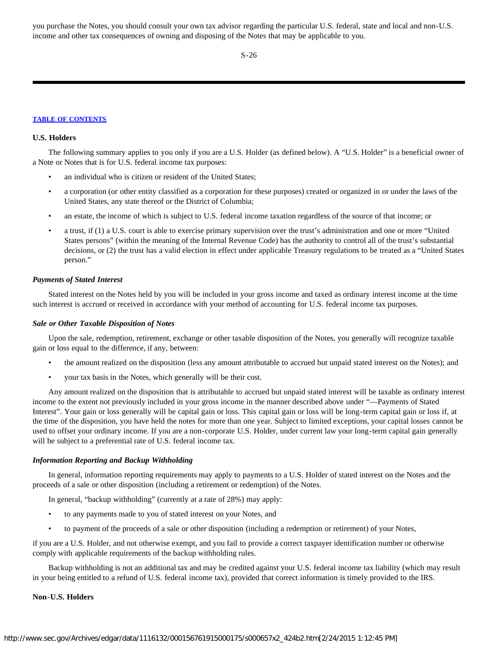you purchase the Notes, you should consult your own tax advisor regarding the particular U.S. federal, state and local and non-U.S. income and other tax consequences of owning and disposing of the Notes that may be applicable to you.

S-26

#### **[TABLE OF CONTENTS](#page-35-0)**

#### **U.S. Holders**

The following summary applies to you only if you are a U.S. Holder (as defined below). A "U.S. Holder" is a beneficial owner of a Note or Notes that is for U.S. federal income tax purposes:

- an individual who is citizen or resident of the United States;
- a corporation (or other entity classified as a corporation for these purposes) created or organized in or under the laws of the United States, any state thereof or the District of Columbia;
- an estate, the income of which is subject to U.S. federal income taxation regardless of the source of that income; or
- a trust, if (1) a U.S. court is able to exercise primary supervision over the trust's administration and one or more "United States persons" (within the meaning of the Internal Revenue Code) has the authority to control all of the trust's substantial decisions, or (2) the trust has a valid election in effect under applicable Treasury regulations to be treated as a "United States person."

#### *Payments of Stated Interest*

Stated interest on the Notes held by you will be included in your gross income and taxed as ordinary interest income at the time such interest is accrued or received in accordance with your method of accounting for U.S. federal income tax purposes.

#### *Sale or Other Taxable Disposition of Notes*

Upon the sale, redemption, retirement, exchange or other taxable disposition of the Notes, you generally will recognize taxable gain or loss equal to the difference, if any, between:

- the amount realized on the disposition (less any amount attributable to accrued but unpaid stated interest on the Notes); and
- your tax basis in the Notes, which generally will be their cost.

Any amount realized on the disposition that is attributable to accrued but unpaid stated interest will be taxable as ordinary interest income to the extent not previously included in your gross income in the manner described above under "—Payments of Stated Interest". Your gain or loss generally will be capital gain or loss. This capital gain or loss will be long-term capital gain or loss if, at the time of the disposition, you have held the notes for more than one year. Subject to limited exceptions, your capital losses cannot be used to offset your ordinary income. If you are a non-corporate U.S. Holder, under current law your long-term capital gain generally will be subject to a preferential rate of U.S. federal income tax.

# *Information Reporting and Backup Withholding*

In general, information reporting requirements may apply to payments to a U.S. Holder of stated interest on the Notes and the proceeds of a sale or other disposition (including a retirement or redemption) of the Notes.

In general, "backup withholding" (currently at a rate of 28%) may apply:

- to any payments made to you of stated interest on your Notes, and
- to payment of the proceeds of a sale or other disposition (including a redemption or retirement) of your Notes,

if you are a U.S. Holder, and not otherwise exempt, and you fail to provide a correct taxpayer identification number or otherwise comply with applicable requirements of the backup withholding rules.

Backup withholding is not an additional tax and may be credited against your U.S. federal income tax liability (which may result in your being entitled to a refund of U.S. federal income tax), provided that correct information is timely provided to the IRS.

#### **Non-U.S. Holders**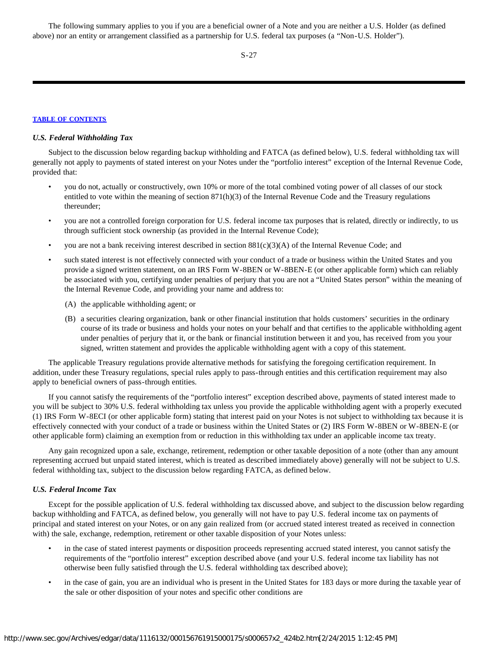The following summary applies to you if you are a beneficial owner of a Note and you are neither a U.S. Holder (as defined above) nor an entity or arrangement classified as a partnership for U.S. federal tax purposes (a "Non-U.S. Holder").

S-27

#### **[TABLE OF CONTENTS](#page-35-0)**

# *U.S. Federal Withholding Tax*

Subject to the discussion below regarding backup withholding and FATCA (as defined below), U.S. federal withholding tax will generally not apply to payments of stated interest on your Notes under the "portfolio interest" exception of the Internal Revenue Code, provided that:

- you do not, actually or constructively, own 10% or more of the total combined voting power of all classes of our stock entitled to vote within the meaning of section 871(h)(3) of the Internal Revenue Code and the Treasury regulations thereunder;
- you are not a controlled foreign corporation for U.S. federal income tax purposes that is related, directly or indirectly, to us through sufficient stock ownership (as provided in the Internal Revenue Code);
- you are not a bank receiving interest described in section  $881(c)(3)(A)$  of the Internal Revenue Code; and
- such stated interest is not effectively connected with your conduct of a trade or business within the United States and you provide a signed written statement, on an IRS Form W-8BEN or W-8BEN-E (or other applicable form) which can reliably be associated with you, certifying under penalties of perjury that you are not a "United States person" within the meaning of the Internal Revenue Code, and providing your name and address to:
	- (A) the applicable withholding agent; or
	- (B) a securities clearing organization, bank or other financial institution that holds customers' securities in the ordinary course of its trade or business and holds your notes on your behalf and that certifies to the applicable withholding agent under penalties of perjury that it, or the bank or financial institution between it and you, has received from you your signed, written statement and provides the applicable withholding agent with a copy of this statement.

The applicable Treasury regulations provide alternative methods for satisfying the foregoing certification requirement. In addition, under these Treasury regulations, special rules apply to pass-through entities and this certification requirement may also apply to beneficial owners of pass-through entities.

If you cannot satisfy the requirements of the "portfolio interest" exception described above, payments of stated interest made to you will be subject to 30% U.S. federal withholding tax unless you provide the applicable withholding agent with a properly executed (1) IRS Form W-8ECI (or other applicable form) stating that interest paid on your Notes is not subject to withholding tax because it is effectively connected with your conduct of a trade or business within the United States or (2) IRS Form W-8BEN or W-8BEN-E (or other applicable form) claiming an exemption from or reduction in this withholding tax under an applicable income tax treaty.

Any gain recognized upon a sale, exchange, retirement, redemption or other taxable deposition of a note (other than any amount representing accrued but unpaid stated interest, which is treated as described immediately above) generally will not be subject to U.S. federal withholding tax, subject to the discussion below regarding FATCA, as defined below.

#### *U.S. Federal Income Tax*

Except for the possible application of U.S. federal withholding tax discussed above, and subject to the discussion below regarding backup withholding and FATCA, as defined below, you generally will not have to pay U.S. federal income tax on payments of principal and stated interest on your Notes, or on any gain realized from (or accrued stated interest treated as received in connection with) the sale, exchange, redemption, retirement or other taxable disposition of your Notes unless:

- in the case of stated interest payments or disposition proceeds representing accrued stated interest, you cannot satisfy the requirements of the "portfolio interest" exception described above (and your U.S. federal income tax liability has not otherwise been fully satisfied through the U.S. federal withholding tax described above);
- in the case of gain, you are an individual who is present in the United States for 183 days or more during the taxable year of the sale or other disposition of your notes and specific other conditions are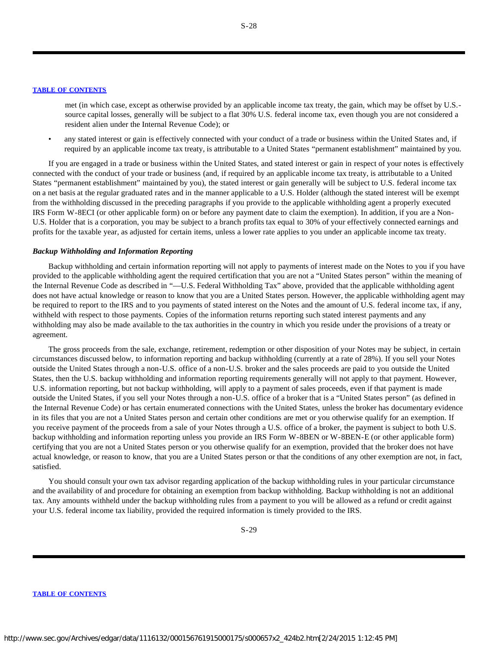met (in which case, except as otherwise provided by an applicable income tax treaty, the gain, which may be offset by U.S. source capital losses, generally will be subject to a flat 30% U.S. federal income tax, even though you are not considered a resident alien under the Internal Revenue Code); or

• any stated interest or gain is effectively connected with your conduct of a trade or business within the United States and, if required by an applicable income tax treaty, is attributable to a United States "permanent establishment" maintained by you.

If you are engaged in a trade or business within the United States, and stated interest or gain in respect of your notes is effectively connected with the conduct of your trade or business (and, if required by an applicable income tax treaty, is attributable to a United States "permanent establishment" maintained by you), the stated interest or gain generally will be subject to U.S. federal income tax on a net basis at the regular graduated rates and in the manner applicable to a U.S. Holder (although the stated interest will be exempt from the withholding discussed in the preceding paragraphs if you provide to the applicable withholding agent a properly executed IRS Form W-8ECI (or other applicable form) on or before any payment date to claim the exemption). In addition, if you are a Non-U.S. Holder that is a corporation, you may be subject to a branch profits tax equal to 30% of your effectively connected earnings and profits for the taxable year, as adjusted for certain items, unless a lower rate applies to you under an applicable income tax treaty.

#### *Backup Withholding and Information Reporting*

Backup withholding and certain information reporting will not apply to payments of interest made on the Notes to you if you have provided to the applicable withholding agent the required certification that you are not a "United States person" within the meaning of the Internal Revenue Code as described in "—U.S. Federal Withholding Tax" above, provided that the applicable withholding agent does not have actual knowledge or reason to know that you are a United States person. However, the applicable withholding agent may be required to report to the IRS and to you payments of stated interest on the Notes and the amount of U.S. federal income tax, if any, withheld with respect to those payments. Copies of the information returns reporting such stated interest payments and any withholding may also be made available to the tax authorities in the country in which you reside under the provisions of a treaty or agreement.

The gross proceeds from the sale, exchange, retirement, redemption or other disposition of your Notes may be subject, in certain circumstances discussed below, to information reporting and backup withholding (currently at a rate of 28%). If you sell your Notes outside the United States through a non-U.S. office of a non-U.S. broker and the sales proceeds are paid to you outside the United States, then the U.S. backup withholding and information reporting requirements generally will not apply to that payment. However, U.S. information reporting, but not backup withholding, will apply to a payment of sales proceeds, even if that payment is made outside the United States, if you sell your Notes through a non-U.S. office of a broker that is a "United States person" (as defined in the Internal Revenue Code) or has certain enumerated connections with the United States, unless the broker has documentary evidence in its files that you are not a United States person and certain other conditions are met or you otherwise qualify for an exemption. If you receive payment of the proceeds from a sale of your Notes through a U.S. office of a broker, the payment is subject to both U.S. backup withholding and information reporting unless you provide an IRS Form W-8BEN or W-8BEN-E (or other applicable form) certifying that you are not a United States person or you otherwise qualify for an exemption, provided that the broker does not have actual knowledge, or reason to know, that you are a United States person or that the conditions of any other exemption are not, in fact, satisfied.

You should consult your own tax advisor regarding application of the backup withholding rules in your particular circumstance and the availability of and procedure for obtaining an exemption from backup withholding. Backup withholding is not an additional tax. Any amounts withheld under the backup withholding rules from a payment to you will be allowed as a refund or credit against your U.S. federal income tax liability, provided the required information is timely provided to the IRS.

S-29

#### **[TABLE OF CONTENTS](#page-35-0)**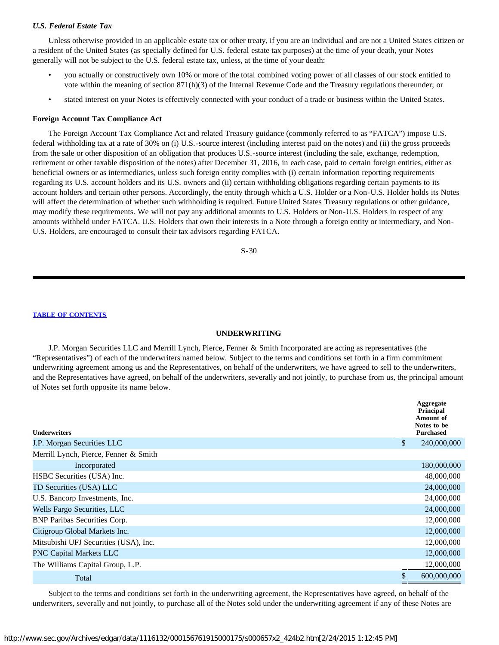# *U.S. Federal Estate Tax*

Unless otherwise provided in an applicable estate tax or other treaty, if you are an individual and are not a United States citizen or a resident of the United States (as specially defined for U.S. federal estate tax purposes) at the time of your death, your Notes generally will not be subject to the U.S. federal estate tax, unless, at the time of your death:

- you actually or constructively own 10% or more of the total combined voting power of all classes of our stock entitled to vote within the meaning of section 871(h)(3) of the Internal Revenue Code and the Treasury regulations thereunder; or
- stated interest on your Notes is effectively connected with your conduct of a trade or business within the United States.

#### **Foreign Account Tax Compliance Act**

The Foreign Account Tax Compliance Act and related Treasury guidance (commonly referred to as "FATCA") impose U.S. federal withholding tax at a rate of 30% on (i) U.S.-source interest (including interest paid on the notes) and (ii) the gross proceeds from the sale or other disposition of an obligation that produces U.S.-source interest (including the sale, exchange, redemption, retirement or other taxable disposition of the notes) after December 31, 2016, in each case, paid to certain foreign entities, either as beneficial owners or as intermediaries, unless such foreign entity complies with (i) certain information reporting requirements regarding its U.S. account holders and its U.S. owners and (ii) certain withholding obligations regarding certain payments to its account holders and certain other persons. Accordingly, the entity through which a U.S. Holder or a Non-U.S. Holder holds its Notes will affect the determination of whether such withholding is required. Future United States Treasury regulations or other guidance, may modify these requirements. We will not pay any additional amounts to U.S. Holders or Non-U.S. Holders in respect of any amounts withheld under FATCA. U.S. Holders that own their interests in a Note through a foreign entity or intermediary, and Non-U.S. Holders, are encouraged to consult their tax advisors regarding FATCA.

S-30

# **[TABLE OF CONTENTS](#page-35-0)**

#### **UNDERWRITING**

<span id="page-30-0"></span>J.P. Morgan Securities LLC and Merrill Lynch, Pierce, Fenner & Smith Incorporated are acting as representatives (the "Representatives") of each of the underwriters named below. Subject to the terms and conditions set forth in a firm commitment underwriting agreement among us and the Representatives, on behalf of the underwriters, we have agreed to sell to the underwriters, and the Representatives have agreed, on behalf of the underwriters, severally and not jointly, to purchase from us, the principal amount of Notes set forth opposite its name below.

| <b>Underwriters</b>                   | Aggregate<br><b>Principal</b><br><b>Amount of</b><br>Notes to be<br><b>Purchased</b> |
|---------------------------------------|--------------------------------------------------------------------------------------|
| J.P. Morgan Securities LLC            | \$<br>240,000,000                                                                    |
| Merrill Lynch, Pierce, Fenner & Smith |                                                                                      |
| Incorporated                          | 180,000,000                                                                          |
| HSBC Securities (USA) Inc.            | 48,000,000                                                                           |
| TD Securities (USA) LLC               | 24,000,000                                                                           |
| U.S. Bancorp Investments, Inc.        | 24,000,000                                                                           |
| Wells Fargo Securities, LLC           | 24,000,000                                                                           |
| <b>BNP</b> Paribas Securities Corp.   | 12,000,000                                                                           |
| Citigroup Global Markets Inc.         | 12,000,000                                                                           |
| Mitsubishi UFJ Securities (USA), Inc. | 12,000,000                                                                           |
| <b>PNC Capital Markets LLC</b>        | 12,000,000                                                                           |
| The Williams Capital Group, L.P.      | 12,000,000                                                                           |
| Total                                 | \$<br>600,000,000                                                                    |

Subject to the terms and conditions set forth in the underwriting agreement, the Representatives have agreed, on behalf of the underwriters, severally and not jointly, to purchase all of the Notes sold under the underwriting agreement if any of these Notes are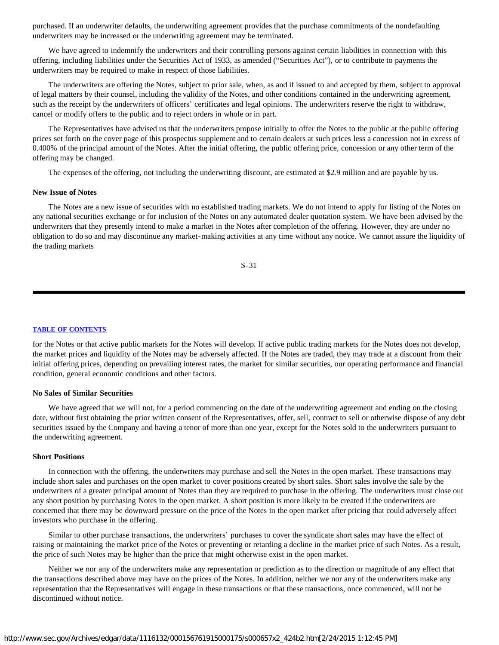purchased. If an underwriter defaults, the underwriting agreement provides that the purchase commitments of the nondefaulting underwriters may be increased or the underwriting agreement may be terminated.

We have agreed to indemnify the underwriters and their controlling persons against certain liabilities in connection with this offering, including liabilities under the Securities Act of 1933, as amended ("Securities Act"), or to contribute to payments the underwriters may be required to make in respect of those liabilities.

The underwriters are offering the Notes, subject to prior sale, when, as and if issued to and accepted by them, subject to approval of legal matters by their counsel, including the validity of the Notes, and other conditions contained in the underwriting agreement, such as the receipt by the underwriters of officers' certificates and legal opinions. The underwriters reserve the right to withdraw, cancel or modify offers to the public and to reject orders in whole or in part.

The Representatives have advised us that the underwriters propose initially to offer the Notes to the public at the public offering prices set forth on the cover page of this prospectus supplement and to certain dealers at such prices less a concession not in excess of 0.400% of the principal amount of the Notes. After the initial offering, the public offering price, concession or any other term of the offering may be changed.

The expenses of the offering, not including the underwriting discount, are estimated at \$2.9 million and are payable by us.

#### **New Issue of Notes**

The Notes are a new issue of securities with no established trading markets. We do not intend to apply for listing of the Notes on any national securities exchange or for inclusion of the Notes on any automated dealer quotation system. We have been advised by the underwriters that they presently intend to make a market in the Notes after completion of the offering. However, they are under no obligation to do so and may discontinue any market-making activities at any time without any notice. We cannot assure the liquidity of the trading markets

S-31

#### **[TABLE OF CONTENTS](#page-35-0)**

for the Notes or that active public markets for the Notes will develop. If active public trading markets for the Notes does not develop, the market prices and liquidity of the Notes may be adversely affected. If the Notes are traded, they may trade at a discount from their initial offering prices, depending on prevailing interest rates, the market for similar securities, our operating performance and financial condition, general economic conditions and other factors.

#### **No Sales of Similar Securities**

We have agreed that we will not, for a period commencing on the date of the underwriting agreement and ending on the closing date, without first obtaining the prior written consent of the Representatives, offer, sell, contract to sell or otherwise dispose of any debt securities issued by the Company and having a tenor of more than one year, except for the Notes sold to the underwriters pursuant to the underwriting agreement.

# **Short Positions**

In connection with the offering, the underwriters may purchase and sell the Notes in the open market. These transactions may include short sales and purchases on the open market to cover positions created by short sales. Short sales involve the sale by the underwriters of a greater principal amount of Notes than they are required to purchase in the offering. The underwriters must close out any short position by purchasing Notes in the open market. A short position is more likely to be created if the underwriters are concerned that there may be downward pressure on the price of the Notes in the open market after pricing that could adversely affect investors who purchase in the offering.

Similar to other purchase transactions, the underwriters' purchases to cover the syndicate short sales may have the effect of raising or maintaining the market price of the Notes or preventing or retarding a decline in the market price of such Notes. As a result, the price of such Notes may be higher than the price that might otherwise exist in the open market.

Neither we nor any of the underwriters make any representation or prediction as to the direction or magnitude of any effect that the transactions described above may have on the prices of the Notes. In addition, neither we nor any of the underwriters make any representation that the Representatives will engage in these transactions or that these transactions, once commenced, will not be discontinued without notice.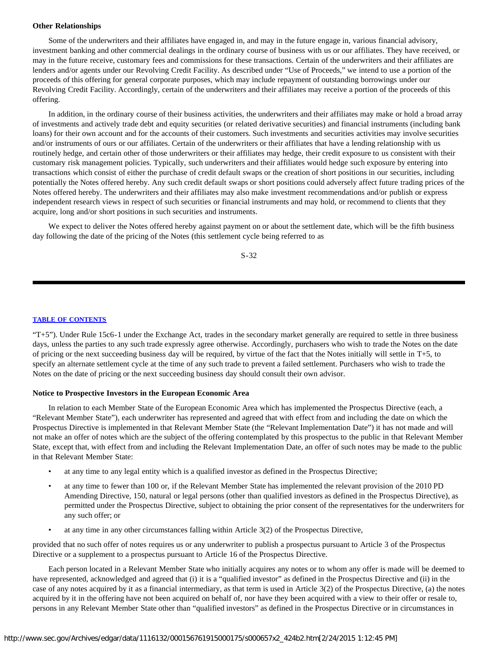#### **Other Relationships**

Some of the underwriters and their affiliates have engaged in, and may in the future engage in, various financial advisory, investment banking and other commercial dealings in the ordinary course of business with us or our affiliates. They have received, or may in the future receive, customary fees and commissions for these transactions. Certain of the underwriters and their affiliates are lenders and/or agents under our Revolving Credit Facility. As described under "Use of Proceeds," we intend to use a portion of the proceeds of this offering for general corporate purposes, which may include repayment of outstanding borrowings under our Revolving Credit Facility. Accordingly, certain of the underwriters and their affiliates may receive a portion of the proceeds of this offering.

In addition, in the ordinary course of their business activities, the underwriters and their affiliates may make or hold a broad array of investments and actively trade debt and equity securities (or related derivative securities) and financial instruments (including bank loans) for their own account and for the accounts of their customers. Such investments and securities activities may involve securities and/or instruments of ours or our affiliates. Certain of the underwriters or their affiliates that have a lending relationship with us routinely hedge, and certain other of those underwriters or their affiliates may hedge, their credit exposure to us consistent with their customary risk management policies. Typically, such underwriters and their affiliates would hedge such exposure by entering into transactions which consist of either the purchase of credit default swaps or the creation of short positions in our securities, including potentially the Notes offered hereby. Any such credit default swaps or short positions could adversely affect future trading prices of the Notes offered hereby. The underwriters and their affiliates may also make investment recommendations and/or publish or express independent research views in respect of such securities or financial instruments and may hold, or recommend to clients that they acquire, long and/or short positions in such securities and instruments.

We expect to deliver the Notes offered hereby against payment on or about the settlement date, which will be the fifth business day following the date of the pricing of the Notes (this settlement cycle being referred to as

S-32

#### **[TABLE OF CONTENTS](#page-35-0)**

"T+5"). Under Rule 15c6-1 under the Exchange Act, trades in the secondary market generally are required to settle in three business days, unless the parties to any such trade expressly agree otherwise. Accordingly, purchasers who wish to trade the Notes on the date of pricing or the next succeeding business day will be required, by virtue of the fact that the Notes initially will settle in T+5, to specify an alternate settlement cycle at the time of any such trade to prevent a failed settlement. Purchasers who wish to trade the Notes on the date of pricing or the next succeeding business day should consult their own advisor.

#### **Notice to Prospective Investors in the European Economic Area**

In relation to each Member State of the European Economic Area which has implemented the Prospectus Directive (each, a "Relevant Member State"), each underwriter has represented and agreed that with effect from and including the date on which the Prospectus Directive is implemented in that Relevant Member State (the "Relevant Implementation Date") it has not made and will not make an offer of notes which are the subject of the offering contemplated by this prospectus to the public in that Relevant Member State, except that, with effect from and including the Relevant Implementation Date, an offer of such notes may be made to the public in that Relevant Member State:

- at any time to any legal entity which is a qualified investor as defined in the Prospectus Directive;
- at any time to fewer than 100 or, if the Relevant Member State has implemented the relevant provision of the 2010 PD Amending Directive, 150, natural or legal persons (other than qualified investors as defined in the Prospectus Directive), as permitted under the Prospectus Directive, subject to obtaining the prior consent of the representatives for the underwriters for any such offer; or
- at any time in any other circumstances falling within Article 3(2) of the Prospectus Directive,

provided that no such offer of notes requires us or any underwriter to publish a prospectus pursuant to Article 3 of the Prospectus Directive or a supplement to a prospectus pursuant to Article 16 of the Prospectus Directive.

Each person located in a Relevant Member State who initially acquires any notes or to whom any offer is made will be deemed to have represented, acknowledged and agreed that (i) it is a "qualified investor" as defined in the Prospectus Directive and (ii) in the case of any notes acquired by it as a financial intermediary, as that term is used in Article 3(2) of the Prospectus Directive, (a) the notes acquired by it in the offering have not been acquired on behalf of, nor have they been acquired with a view to their offer or resale to, persons in any Relevant Member State other than "qualified investors" as defined in the Prospectus Directive or in circumstances in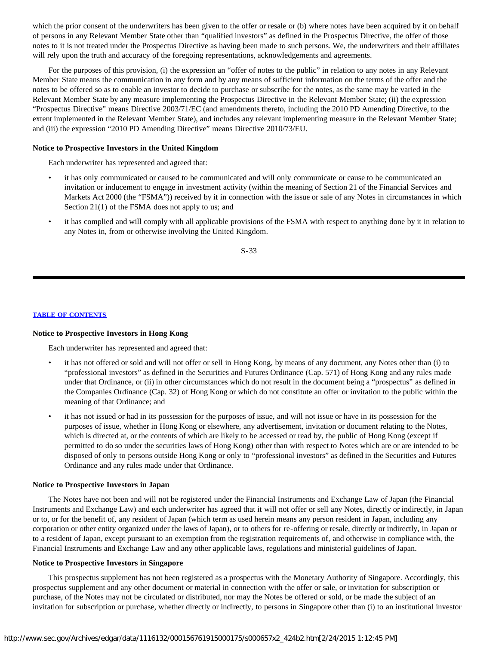which the prior consent of the underwriters has been given to the offer or resale or (b) where notes have been acquired by it on behalf of persons in any Relevant Member State other than "qualified investors" as defined in the Prospectus Directive, the offer of those notes to it is not treated under the Prospectus Directive as having been made to such persons. We, the underwriters and their affiliates will rely upon the truth and accuracy of the foregoing representations, acknowledgements and agreements.

For the purposes of this provision, (i) the expression an "offer of notes to the public" in relation to any notes in any Relevant Member State means the communication in any form and by any means of sufficient information on the terms of the offer and the notes to be offered so as to enable an investor to decide to purchase or subscribe for the notes, as the same may be varied in the Relevant Member State by any measure implementing the Prospectus Directive in the Relevant Member State; (ii) the expression "Prospectus Directive" means Directive 2003/71/EC (and amendments thereto, including the 2010 PD Amending Directive, to the extent implemented in the Relevant Member State), and includes any relevant implementing measure in the Relevant Member State; and (iii) the expression "2010 PD Amending Directive" means Directive 2010/73/EU.

# **Notice to Prospective Investors in the United Kingdom**

Each underwriter has represented and agreed that:

- it has only communicated or caused to be communicated and will only communicate or cause to be communicated an invitation or inducement to engage in investment activity (within the meaning of Section 21 of the Financial Services and Markets Act 2000 (the "FSMA")) received by it in connection with the issue or sale of any Notes in circumstances in which Section 21(1) of the FSMA does not apply to us; and
- it has complied and will comply with all applicable provisions of the FSMA with respect to anything done by it in relation to any Notes in, from or otherwise involving the United Kingdom.

S-33

# **[TABLE OF CONTENTS](#page-35-0)**

#### **Notice to Prospective Investors in Hong Kong**

Each underwriter has represented and agreed that:

- it has not offered or sold and will not offer or sell in Hong Kong, by means of any document, any Notes other than (i) to "professional investors" as defined in the Securities and Futures Ordinance (Cap. 571) of Hong Kong and any rules made under that Ordinance, or (ii) in other circumstances which do not result in the document being a "prospectus" as defined in the Companies Ordinance (Cap. 32) of Hong Kong or which do not constitute an offer or invitation to the public within the meaning of that Ordinance; and
- it has not issued or had in its possession for the purposes of issue, and will not issue or have in its possession for the purposes of issue, whether in Hong Kong or elsewhere, any advertisement, invitation or document relating to the Notes, which is directed at, or the contents of which are likely to be accessed or read by, the public of Hong Kong (except if permitted to do so under the securities laws of Hong Kong) other than with respect to Notes which are or are intended to be disposed of only to persons outside Hong Kong or only to "professional investors" as defined in the Securities and Futures Ordinance and any rules made under that Ordinance.

#### **Notice to Prospective Investors in Japan**

The Notes have not been and will not be registered under the Financial Instruments and Exchange Law of Japan (the Financial Instruments and Exchange Law) and each underwriter has agreed that it will not offer or sell any Notes, directly or indirectly, in Japan or to, or for the benefit of, any resident of Japan (which term as used herein means any person resident in Japan, including any corporation or other entity organized under the laws of Japan), or to others for re-offering or resale, directly or indirectly, in Japan or to a resident of Japan, except pursuant to an exemption from the registration requirements of, and otherwise in compliance with, the Financial Instruments and Exchange Law and any other applicable laws, regulations and ministerial guidelines of Japan.

# **Notice to Prospective Investors in Singapore**

This prospectus supplement has not been registered as a prospectus with the Monetary Authority of Singapore. Accordingly, this prospectus supplement and any other document or material in connection with the offer or sale, or invitation for subscription or purchase, of the Notes may not be circulated or distributed, nor may the Notes be offered or sold, or be made the subject of an invitation for subscription or purchase, whether directly or indirectly, to persons in Singapore other than (i) to an institutional investor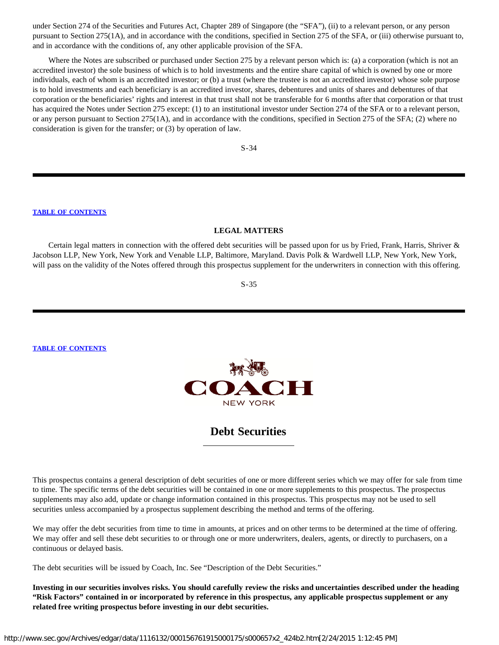under Section 274 of the Securities and Futures Act, Chapter 289 of Singapore (the "SFA"), (ii) to a relevant person, or any person pursuant to Section 275(1A), and in accordance with the conditions, specified in Section 275 of the SFA, or (iii) otherwise pursuant to, and in accordance with the conditions of, any other applicable provision of the SFA.

Where the Notes are subscribed or purchased under Section 275 by a relevant person which is: (a) a corporation (which is not an accredited investor) the sole business of which is to hold investments and the entire share capital of which is owned by one or more individuals, each of whom is an accredited investor; or (b) a trust (where the trustee is not an accredited investor) whose sole purpose is to hold investments and each beneficiary is an accredited investor, shares, debentures and units of shares and debentures of that corporation or the beneficiaries' rights and interest in that trust shall not be transferable for 6 months after that corporation or that trust has acquired the Notes under Section 275 except: (1) to an institutional investor under Section 274 of the SFA or to a relevant person, or any person pursuant to Section 275(1A), and in accordance with the conditions, specified in Section 275 of the SFA; (2) where no consideration is given for the transfer; or (3) by operation of law.

S-34

#### **[TABLE OF CONTENTS](#page-35-0)**

#### **LEGAL MATTERS**

<span id="page-34-0"></span>Certain legal matters in connection with the offered debt securities will be passed upon for us by Fried, Frank, Harris, Shriver & Jacobson LLP, New York, New York and Venable LLP, Baltimore, Maryland. Davis Polk & Wardwell LLP, New York, New York, will pass on the validity of the Notes offered through this prospectus supplement for the underwriters in connection with this offering.

S-35

**[TABLE OF CONTENTS](#page-35-0)**



# **Debt Securities**

This prospectus contains a general description of debt securities of one or more different series which we may offer for sale from time to time. The specific terms of the debt securities will be contained in one or more supplements to this prospectus. The prospectus supplements may also add, update or change information contained in this prospectus. This prospectus may not be used to sell securities unless accompanied by a prospectus supplement describing the method and terms of the offering.

We may offer the debt securities from time to time in amounts, at prices and on other terms to be determined at the time of offering. We may offer and sell these debt securities to or through one or more underwriters, dealers, agents, or directly to purchasers, on a continuous or delayed basis.

The debt securities will be issued by Coach, Inc. See "Description of the Debt Securities."

**Investing in our securities involves risks. You should carefully review the risks and uncertainties described under the heading "Risk Factors" contained in or incorporated by reference in this prospectus, any applicable prospectus supplement or any related free writing prospectus before investing in our debt securities.**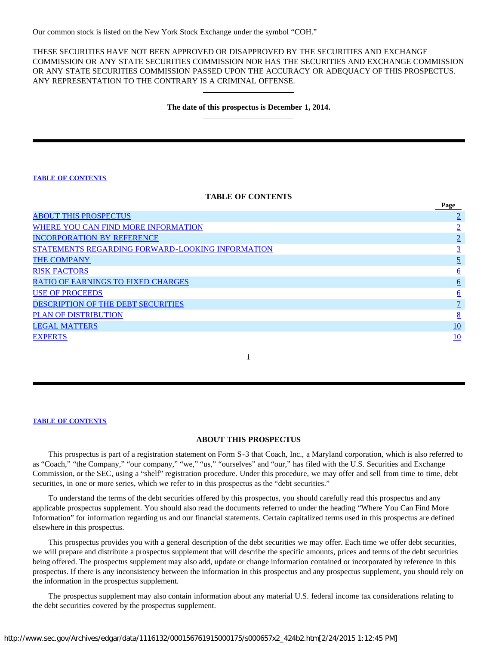Our common stock is listed on the New York Stock Exchange under the symbol "COH."

THESE SECURITIES HAVE NOT BEEN APPROVED OR DISAPPROVED BY THE SECURITIES AND EXCHANGE COMMISSION OR ANY STATE SECURITIES COMMISSION NOR HAS THE SECURITIES AND EXCHANGE COMMISSION OR ANY STATE SECURITIES COMMISSION PASSED UPON THE ACCURACY OR ADEQUACY OF THIS PROSPECTUS. ANY REPRESENTATION TO THE CONTRARY IS A CRIMINAL OFFENSE.

# **The date of this prospectus is December 1, 2014.**

# **[TABLE OF CONTENTS](#page-35-0)**

#### **TABLE OF CONTENTS**

<span id="page-35-0"></span>

|                                                         | Page     |
|---------------------------------------------------------|----------|
| <b>ABOUT THIS PROSPECTUS</b>                            |          |
| WHERE YOU CAN FIND MORE INFORMATION                     |          |
| <b>INCORPORATION BY REFERENCE</b>                       |          |
| <b>STATEMENTS REGARDING FORWARD-LOOKING INFORMATION</b> |          |
| <b>THE COMPANY</b>                                      |          |
| <b>RISK FACTORS</b>                                     | <u>6</u> |
| <b>RATIO OF EARNINGS TO FIXED CHARGES</b>               | 6        |
| <b>USE OF PROCEEDS</b>                                  | <u>6</u> |
| <b>DESCRIPTION OF THE DEBT SECURITIES</b>               |          |
| <b>PLAN OF DISTRIBUTION</b>                             | 8        |
| <b>LEGAL MATTERS</b>                                    | 10       |
| <b>EXPERTS</b>                                          | 10       |

1

#### **[TABLE OF CONTENTS](#page-35-0)**

# **ABOUT THIS PROSPECTUS**

<span id="page-35-1"></span>This prospectus is part of a registration statement on Form S-3 that Coach, Inc., a Maryland corporation, which is also referred to as "Coach," "the Company," "our company," "we," "us," "ourselves" and "our," has filed with the U.S. Securities and Exchange Commission, or the SEC, using a "shelf" registration procedure. Under this procedure, we may offer and sell from time to time, debt securities, in one or more series, which we refer to in this prospectus as the "debt securities."

To understand the terms of the debt securities offered by this prospectus, you should carefully read this prospectus and any applicable prospectus supplement. You should also read the documents referred to under the heading "Where You Can Find More Information" for information regarding us and our financial statements. Certain capitalized terms used in this prospectus are defined elsewhere in this prospectus.

This prospectus provides you with a general description of the debt securities we may offer. Each time we offer debt securities, we will prepare and distribute a prospectus supplement that will describe the specific amounts, prices and terms of the debt securities being offered. The prospectus supplement may also add, update or change information contained or incorporated by reference in this prospectus. If there is any inconsistency between the information in this prospectus and any prospectus supplement, you should rely on the information in the prospectus supplement.

The prospectus supplement may also contain information about any material U.S. federal income tax considerations relating to the debt securities covered by the prospectus supplement.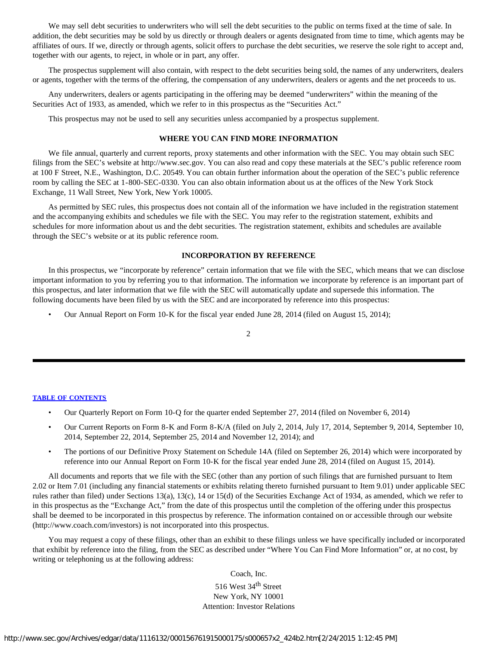We may sell debt securities to underwriters who will sell the debt securities to the public on terms fixed at the time of sale. In addition, the debt securities may be sold by us directly or through dealers or agents designated from time to time, which agents may be affiliates of ours. If we, directly or through agents, solicit offers to purchase the debt securities, we reserve the sole right to accept and, together with our agents, to reject, in whole or in part, any offer.

The prospectus supplement will also contain, with respect to the debt securities being sold, the names of any underwriters, dealers or agents, together with the terms of the offering, the compensation of any underwriters, dealers or agents and the net proceeds to us.

Any underwriters, dealers or agents participating in the offering may be deemed "underwriters" within the meaning of the Securities Act of 1933, as amended, which we refer to in this prospectus as the "Securities Act."

This prospectus may not be used to sell any securities unless accompanied by a prospectus supplement.

# **WHERE YOU CAN FIND MORE INFORMATION**

<span id="page-36-0"></span>We file annual, quarterly and current reports, proxy statements and other information with the SEC. You may obtain such SEC filings from the SEC's website at http://www.sec.gov. You can also read and copy these materials at the SEC's public reference room at 100 F Street, N.E., Washington, D.C. 20549. You can obtain further information about the operation of the SEC's public reference room by calling the SEC at 1-800-SEC-0330. You can also obtain information about us at the offices of the New York Stock Exchange, 11 Wall Street, New York, New York 10005.

As permitted by SEC rules, this prospectus does not contain all of the information we have included in the registration statement and the accompanying exhibits and schedules we file with the SEC. You may refer to the registration statement, exhibits and schedules for more information about us and the debt securities. The registration statement, exhibits and schedules are available through the SEC's website or at its public reference room.

# **INCORPORATION BY REFERENCE**

<span id="page-36-1"></span>In this prospectus, we "incorporate by reference" certain information that we file with the SEC, which means that we can disclose important information to you by referring you to that information. The information we incorporate by reference is an important part of this prospectus, and later information that we file with the SEC will automatically update and supersede this information. The following documents have been filed by us with the SEC and are incorporated by reference into this prospectus:

• Our Annual Report on Form 10-K for the fiscal year ended June 28, 2014 (filed on August 15, 2014);

# $\mathfrak{D}$

#### **[TABLE OF CONTENTS](#page-35-0)**

- Our Quarterly Report on Form 10-Q for the quarter ended September 27, 2014 (filed on November 6, 2014)
- Our Current Reports on Form 8-K and Form 8-K/A (filed on July 2, 2014, July 17, 2014, September 9, 2014, September 10, 2014, September 22, 2014, September 25, 2014 and November 12, 2014); and
- The portions of our Definitive Proxy Statement on Schedule 14A (filed on September 26, 2014) which were incorporated by reference into our Annual Report on Form 10-K for the fiscal year ended June 28, 2014 (filed on August 15, 2014).

All documents and reports that we file with the SEC (other than any portion of such filings that are furnished pursuant to Item 2.02 or Item 7.01 (including any financial statements or exhibits relating thereto furnished pursuant to Item 9.01) under applicable SEC rules rather than filed) under Sections 13(a), 13(c), 14 or 15(d) of the Securities Exchange Act of 1934, as amended, which we refer to in this prospectus as the "Exchange Act," from the date of this prospectus until the completion of the offering under this prospectus shall be deemed to be incorporated in this prospectus by reference. The information contained on or accessible through our website (http://www.coach.com/investors) is not incorporated into this prospectus.

You may request a copy of these filings, other than an exhibit to these filings unless we have specifically included or incorporated that exhibit by reference into the filing, from the SEC as described under "Where You Can Find More Information" or, at no cost, by writing or telephoning us at the following address:

Coach, Inc.

516 West 34<sup>th</sup> Street New York, NY 10001 Attention: Investor Relations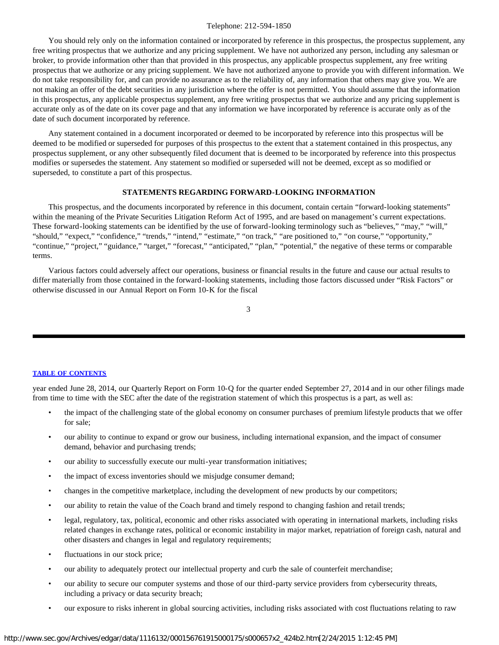#### Telephone: 212-594-1850

You should rely only on the information contained or incorporated by reference in this prospectus, the prospectus supplement, any free writing prospectus that we authorize and any pricing supplement. We have not authorized any person, including any salesman or broker, to provide information other than that provided in this prospectus, any applicable prospectus supplement, any free writing prospectus that we authorize or any pricing supplement. We have not authorized anyone to provide you with different information. We do not take responsibility for, and can provide no assurance as to the reliability of, any information that others may give you. We are not making an offer of the debt securities in any jurisdiction where the offer is not permitted. You should assume that the information in this prospectus, any applicable prospectus supplement, any free writing prospectus that we authorize and any pricing supplement is accurate only as of the date on its cover page and that any information we have incorporated by reference is accurate only as of the date of such document incorporated by reference.

Any statement contained in a document incorporated or deemed to be incorporated by reference into this prospectus will be deemed to be modified or superseded for purposes of this prospectus to the extent that a statement contained in this prospectus, any prospectus supplement, or any other subsequently filed document that is deemed to be incorporated by reference into this prospectus modifies or supersedes the statement. Any statement so modified or superseded will not be deemed, except as so modified or superseded, to constitute a part of this prospectus.

# **STATEMENTS REGARDING FORWARD-LOOKING INFORMATION**

<span id="page-37-0"></span>This prospectus, and the documents incorporated by reference in this document, contain certain "forward-looking statements" within the meaning of the Private Securities Litigation Reform Act of 1995, and are based on management's current expectations. These forward-looking statements can be identified by the use of forward-looking terminology such as "believes," "may," "will," "should," "expect," "confidence," "trends," "intend," "estimate," "on track," "are positioned to," "on course," "opportunity," "continue," "project," "guidance," "target," "forecast," "anticipated," "plan," "potential," the negative of these terms or comparable terms.

Various factors could adversely affect our operations, business or financial results in the future and cause our actual results to differ materially from those contained in the forward-looking statements, including those factors discussed under "Risk Factors" or otherwise discussed in our Annual Report on Form 10-K for the fiscal

|   | v | ٠  |          | I |
|---|---|----|----------|---|
|   |   |    |          |   |
|   |   |    |          | I |
| × |   | ۰. | ۰.<br>۰, |   |
|   |   |    |          |   |

#### **[TABLE OF CONTENTS](#page-35-0)**

year ended June 28, 2014, our Quarterly Report on Form 10-Q for the quarter ended September 27, 2014 and in our other filings made from time to time with the SEC after the date of the registration statement of which this prospectus is a part, as well as:

- the impact of the challenging state of the global economy on consumer purchases of premium lifestyle products that we offer for sale;
- our ability to continue to expand or grow our business, including international expansion, and the impact of consumer demand, behavior and purchasing trends;
- our ability to successfully execute our multi-year transformation initiatives;
- the impact of excess inventories should we misjudge consumer demand;
- changes in the competitive marketplace, including the development of new products by our competitors;
- our ability to retain the value of the Coach brand and timely respond to changing fashion and retail trends;
- legal, regulatory, tax, political, economic and other risks associated with operating in international markets, including risks related changes in exchange rates, political or economic instability in major market, repatriation of foreign cash, natural and other disasters and changes in legal and regulatory requirements;
- fluctuations in our stock price;
- our ability to adequately protect our intellectual property and curb the sale of counterfeit merchandise;
- our ability to secure our computer systems and those of our third-party service providers from cybersecurity threats, including a privacy or data security breach;
- our exposure to risks inherent in global sourcing activities, including risks associated with cost fluctuations relating to raw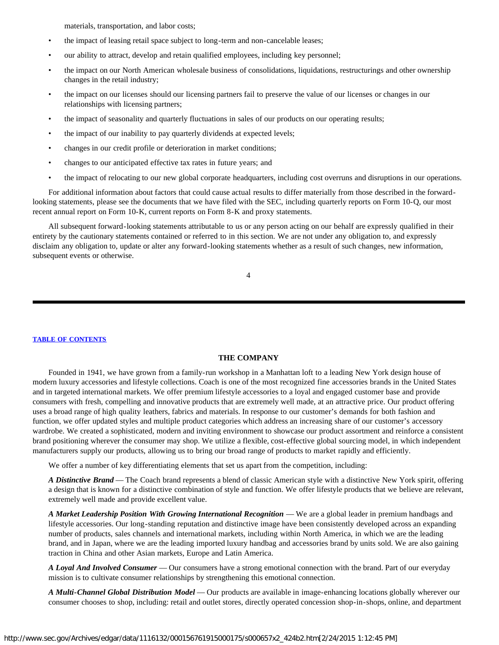materials, transportation, and labor costs;

- the impact of leasing retail space subject to long-term and non-cancelable leases;
- our ability to attract, develop and retain qualified employees, including key personnel;
- the impact on our North American wholesale business of consolidations, liquidations, restructurings and other ownership changes in the retail industry;
- the impact on our licenses should our licensing partners fail to preserve the value of our licenses or changes in our relationships with licensing partners;
- the impact of seasonality and quarterly fluctuations in sales of our products on our operating results;
- the impact of our inability to pay quarterly dividends at expected levels;
- changes in our credit profile or deterioration in market conditions;
- changes to our anticipated effective tax rates in future years; and
- the impact of relocating to our new global corporate headquarters, including cost overruns and disruptions in our operations.

For additional information about factors that could cause actual results to differ materially from those described in the forwardlooking statements, please see the documents that we have filed with the SEC, including quarterly reports on Form 10-Q, our most recent annual report on Form 10-K, current reports on Form 8-K and proxy statements.

All subsequent forward-looking statements attributable to us or any person acting on our behalf are expressly qualified in their entirety by the cautionary statements contained or referred to in this section. We are not under any obligation to, and expressly disclaim any obligation to, update or alter any forward-looking statements whether as a result of such changes, new information, subsequent events or otherwise.

4

#### **[TABLE OF CONTENTS](#page-35-0)**

# **THE COMPANY**

<span id="page-38-0"></span>Founded in 1941, we have grown from a family-run workshop in a Manhattan loft to a leading New York design house of modern luxury accessories and lifestyle collections. Coach is one of the most recognized fine accessories brands in the United States and in targeted international markets. We offer premium lifestyle accessories to a loyal and engaged customer base and provide consumers with fresh, compelling and innovative products that are extremely well made, at an attractive price. Our product offering uses a broad range of high quality leathers, fabrics and materials. In response to our customer's demands for both fashion and function, we offer updated styles and multiple product categories which address an increasing share of our customer's accessory wardrobe. We created a sophisticated, modern and inviting environment to showcase our product assortment and reinforce a consistent brand positioning wherever the consumer may shop. We utilize a flexible, cost-effective global sourcing model, in which independent manufacturers supply our products, allowing us to bring our broad range of products to market rapidly and efficiently.

We offer a number of key differentiating elements that set us apart from the competition, including:

*A Distinctive Brand* — The Coach brand represents a blend of classic American style with a distinctive New York spirit, offering a design that is known for a distinctive combination of style and function. We offer lifestyle products that we believe are relevant, extremely well made and provide excellent value.

*A Market Leadership Position With Growing International Recognition* — We are a global leader in premium handbags and lifestyle accessories. Our long-standing reputation and distinctive image have been consistently developed across an expanding number of products, sales channels and international markets, including within North America, in which we are the leading brand, and in Japan, where we are the leading imported luxury handbag and accessories brand by units sold. We are also gaining traction in China and other Asian markets, Europe and Latin America.

*A Loyal And Involved Consumer* — Our consumers have a strong emotional connection with the brand. Part of our everyday mission is to cultivate consumer relationships by strengthening this emotional connection.

*A Multi-Channel Global Distribution Model* — Our products are available in image-enhancing locations globally wherever our consumer chooses to shop, including: retail and outlet stores, directly operated concession shop-in-shops, online, and department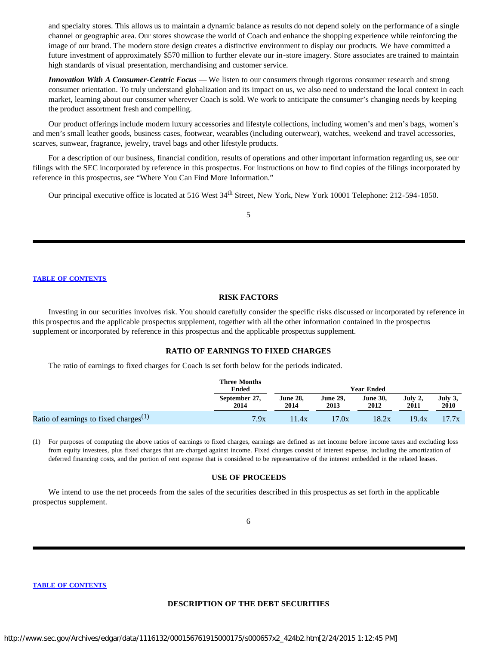and specialty stores. This allows us to maintain a dynamic balance as results do not depend solely on the performance of a single channel or geographic area. Our stores showcase the world of Coach and enhance the shopping experience while reinforcing the image of our brand. The modern store design creates a distinctive environment to display our products. We have committed a future investment of approximately \$570 million to further elevate our in-store imagery. Store associates are trained to maintain high standards of visual presentation, merchandising and customer service.

*Innovation With A Consumer-Centric Focus* — We listen to our consumers through rigorous consumer research and strong consumer orientation. To truly understand globalization and its impact on us, we also need to understand the local context in each market, learning about our consumer wherever Coach is sold. We work to anticipate the consumer's changing needs by keeping the product assortment fresh and compelling.

Our product offerings include modern luxury accessories and lifestyle collections, including women's and men's bags, women's and men's small leather goods, business cases, footwear, wearables (including outerwear), watches, weekend and travel accessories, scarves, sunwear, fragrance, jewelry, travel bags and other lifestyle products.

For a description of our business, financial condition, results of operations and other important information regarding us, see our filings with the SEC incorporated by reference in this prospectus. For instructions on how to find copies of the filings incorporated by reference in this prospectus, see "Where You Can Find More Information."

Our principal executive office is located at 516 West 34<sup>th</sup> Street, New York, New York 10001 Telephone: 212-594-1850.

5

#### **[TABLE OF CONTENTS](#page-35-0)**

#### **RISK FACTORS**

<span id="page-39-0"></span>Investing in our securities involves risk. You should carefully consider the specific risks discussed or incorporated by reference in this prospectus and the applicable prospectus supplement, together with all the other information contained in the prospectus supplement or incorporated by reference in this prospectus and the applicable prospectus supplement.

#### **RATIO OF EARNINGS TO FIXED CHARGES**

The ratio of earnings to fixed charges for Coach is set forth below for the periods indicated.

<span id="page-39-1"></span>

|                                                   | <b>Three Months</b><br><b>Ended</b> | <b>Year Ended</b>       |                  |                         |                 |                        |
|---------------------------------------------------|-------------------------------------|-------------------------|------------------|-------------------------|-----------------|------------------------|
|                                                   | September 27,<br>2014               | <b>June 28,</b><br>2014 | June 29.<br>2013 | <b>June 30.</b><br>2012 | July 2.<br>2011 | July 3,<br><b>2010</b> |
| Ratio of earnings to fixed charges <sup>(1)</sup> | 7.9x                                | 11.4x                   | 17.0x            | 18.2x                   | 19.4x           | 17.7x                  |

(1) For purposes of computing the above ratios of earnings to fixed charges, earnings are defined as net income before income taxes and excluding loss from equity investees, plus fixed charges that are charged against income. Fixed charges consist of interest expense, including the amortization of deferred financing costs, and the portion of rent expense that is considered to be representative of the interest embedded in the related leases.

# **USE OF PROCEEDS**

<span id="page-39-2"></span>We intend to use the net proceeds from the sales of the securities described in this prospectus as set forth in the applicable prospectus supplement.

#### <span id="page-39-3"></span>**[TABLE OF CONTENTS](#page-35-0)**

#### **DESCRIPTION OF THE DEBT SECURITIES**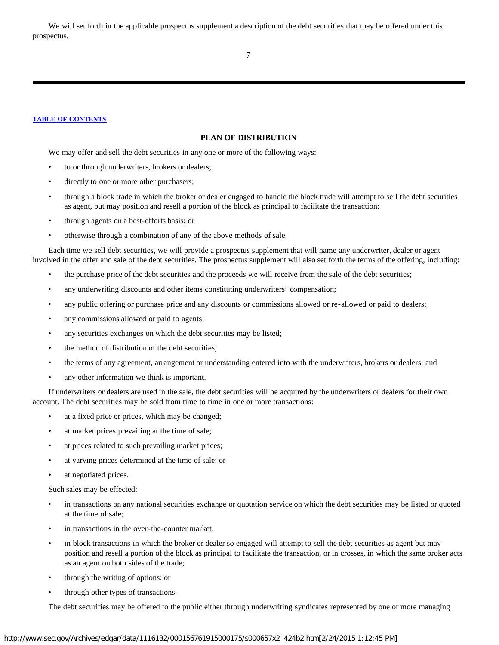We will set forth in the applicable prospectus supplement a description of the debt securities that may be offered under this prospectus.

7

#### <span id="page-40-0"></span>**[TABLE OF CONTENTS](#page-35-0)**

# **PLAN OF DISTRIBUTION**

We may offer and sell the debt securities in any one or more of the following ways:

- to or through underwriters, brokers or dealers;
- directly to one or more other purchasers;
- through a block trade in which the broker or dealer engaged to handle the block trade will attempt to sell the debt securities as agent, but may position and resell a portion of the block as principal to facilitate the transaction;
- through agents on a best-efforts basis; or
- otherwise through a combination of any of the above methods of sale.

Each time we sell debt securities, we will provide a prospectus supplement that will name any underwriter, dealer or agent involved in the offer and sale of the debt securities. The prospectus supplement will also set forth the terms of the offering, including:

- the purchase price of the debt securities and the proceeds we will receive from the sale of the debt securities;
- any underwriting discounts and other items constituting underwriters' compensation;
- any public offering or purchase price and any discounts or commissions allowed or re-allowed or paid to dealers;
- any commissions allowed or paid to agents;
- any securities exchanges on which the debt securities may be listed;
- the method of distribution of the debt securities;
- the terms of any agreement, arrangement or understanding entered into with the underwriters, brokers or dealers; and
- any other information we think is important.

If underwriters or dealers are used in the sale, the debt securities will be acquired by the underwriters or dealers for their own account. The debt securities may be sold from time to time in one or more transactions:

- at a fixed price or prices, which may be changed;
- at market prices prevailing at the time of sale;
- at prices related to such prevailing market prices;
- at varying prices determined at the time of sale; or
- at negotiated prices.

Such sales may be effected:

- in transactions on any national securities exchange or quotation service on which the debt securities may be listed or quoted at the time of sale;
- in transactions in the over-the-counter market;
- in block transactions in which the broker or dealer so engaged will attempt to sell the debt securities as agent but may position and resell a portion of the block as principal to facilitate the transaction, or in crosses, in which the same broker acts as an agent on both sides of the trade;
- through the writing of options; or
- through other types of transactions.

The debt securities may be offered to the public either through underwriting syndicates represented by one or more managing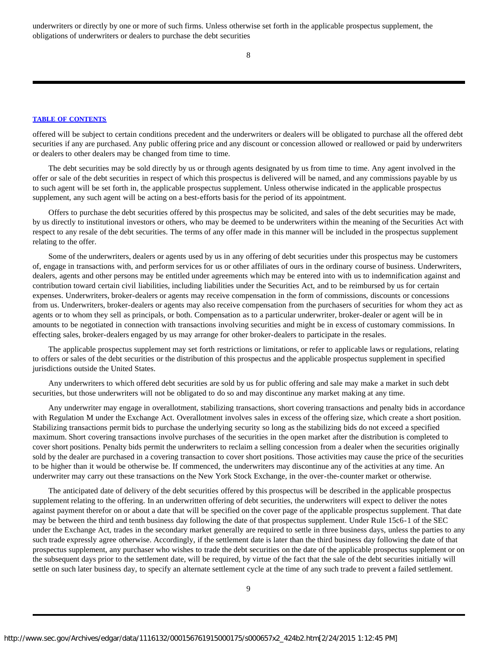underwriters or directly by one or more of such firms. Unless otherwise set forth in the applicable prospectus supplement, the obligations of underwriters or dealers to purchase the debt securities

8

# **[TABLE OF CONTENTS](#page-35-0)**

offered will be subject to certain conditions precedent and the underwriters or dealers will be obligated to purchase all the offered debt securities if any are purchased. Any public offering price and any discount or concession allowed or reallowed or paid by underwriters or dealers to other dealers may be changed from time to time.

The debt securities may be sold directly by us or through agents designated by us from time to time. Any agent involved in the offer or sale of the debt securities in respect of which this prospectus is delivered will be named, and any commissions payable by us to such agent will be set forth in, the applicable prospectus supplement. Unless otherwise indicated in the applicable prospectus supplement, any such agent will be acting on a best-efforts basis for the period of its appointment.

Offers to purchase the debt securities offered by this prospectus may be solicited, and sales of the debt securities may be made, by us directly to institutional investors or others, who may be deemed to be underwriters within the meaning of the Securities Act with respect to any resale of the debt securities. The terms of any offer made in this manner will be included in the prospectus supplement relating to the offer.

Some of the underwriters, dealers or agents used by us in any offering of debt securities under this prospectus may be customers of, engage in transactions with, and perform services for us or other affiliates of ours in the ordinary course of business. Underwriters, dealers, agents and other persons may be entitled under agreements which may be entered into with us to indemnification against and contribution toward certain civil liabilities, including liabilities under the Securities Act, and to be reimbursed by us for certain expenses. Underwriters, broker-dealers or agents may receive compensation in the form of commissions, discounts or concessions from us. Underwriters, broker-dealers or agents may also receive compensation from the purchasers of securities for whom they act as agents or to whom they sell as principals, or both. Compensation as to a particular underwriter, broker-dealer or agent will be in amounts to be negotiated in connection with transactions involving securities and might be in excess of customary commissions. In effecting sales, broker-dealers engaged by us may arrange for other broker-dealers to participate in the resales.

The applicable prospectus supplement may set forth restrictions or limitations, or refer to applicable laws or regulations, relating to offers or sales of the debt securities or the distribution of this prospectus and the applicable prospectus supplement in specified jurisdictions outside the United States.

Any underwriters to which offered debt securities are sold by us for public offering and sale may make a market in such debt securities, but those underwriters will not be obligated to do so and may discontinue any market making at any time.

Any underwriter may engage in overallotment, stabilizing transactions, short covering transactions and penalty bids in accordance with Regulation M under the Exchange Act. Overallotment involves sales in excess of the offering size, which create a short position. Stabilizing transactions permit bids to purchase the underlying security so long as the stabilizing bids do not exceed a specified maximum. Short covering transactions involve purchases of the securities in the open market after the distribution is completed to cover short positions. Penalty bids permit the underwriters to reclaim a selling concession from a dealer when the securities originally sold by the dealer are purchased in a covering transaction to cover short positions. Those activities may cause the price of the securities to be higher than it would be otherwise be. If commenced, the underwriters may discontinue any of the activities at any time. An underwriter may carry out these transactions on the New York Stock Exchange, in the over-the-counter market or otherwise.

The anticipated date of delivery of the debt securities offered by this prospectus will be described in the applicable prospectus supplement relating to the offering. In an underwritten offering of debt securities, the underwriters will expect to deliver the notes against payment therefor on or about a date that will be specified on the cover page of the applicable prospectus supplement. That date may be between the third and tenth business day following the date of that prospectus supplement. Under Rule 15c6-1 of the SEC under the Exchange Act, trades in the secondary market generally are required to settle in three business days, unless the parties to any such trade expressly agree otherwise. Accordingly, if the settlement date is later than the third business day following the date of that prospectus supplement, any purchaser who wishes to trade the debt securities on the date of the applicable prospectus supplement or on the subsequent days prior to the settlement date, will be required, by virtue of the fact that the sale of the debt securities initially will settle on such later business day, to specify an alternate settlement cycle at the time of any such trade to prevent a failed settlement.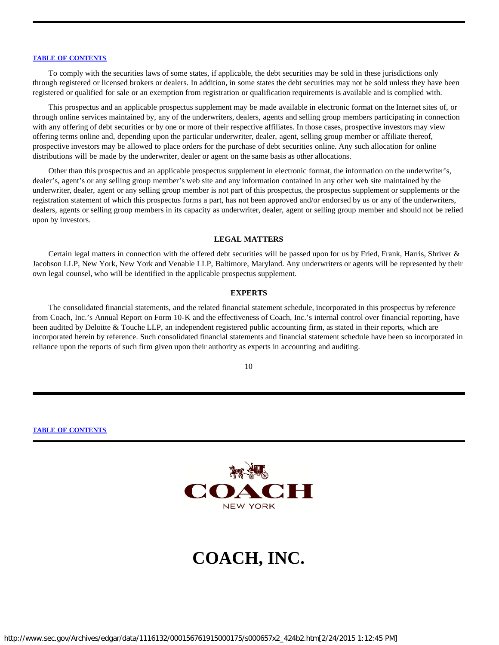To comply with the securities laws of some states, if applicable, the debt securities may be sold in these jurisdictions only through registered or licensed brokers or dealers. In addition, in some states the debt securities may not be sold unless they have been registered or qualified for sale or an exemption from registration or qualification requirements is available and is complied with.

This prospectus and an applicable prospectus supplement may be made available in electronic format on the Internet sites of, or through online services maintained by, any of the underwriters, dealers, agents and selling group members participating in connection with any offering of debt securities or by one or more of their respective affiliates. In those cases, prospective investors may view offering terms online and, depending upon the particular underwriter, dealer, agent, selling group member or affiliate thereof, prospective investors may be allowed to place orders for the purchase of debt securities online. Any such allocation for online distributions will be made by the underwriter, dealer or agent on the same basis as other allocations.

Other than this prospectus and an applicable prospectus supplement in electronic format, the information on the underwriter's, dealer's, agent's or any selling group member's web site and any information contained in any other web site maintained by the underwriter, dealer, agent or any selling group member is not part of this prospectus, the prospectus supplement or supplements or the registration statement of which this prospectus forms a part, has not been approved and/or endorsed by us or any of the underwriters, dealers, agents or selling group members in its capacity as underwriter, dealer, agent or selling group member and should not be relied upon by investors.

#### **LEGAL MATTERS**

<span id="page-42-0"></span>Certain legal matters in connection with the offered debt securities will be passed upon for us by Fried, Frank, Harris, Shriver & Jacobson LLP, New York, New York and Venable LLP, Baltimore, Maryland. Any underwriters or agents will be represented by their own legal counsel, who will be identified in the applicable prospectus supplement.

#### **EXPERTS**

<span id="page-42-1"></span>The consolidated financial statements, and the related financial statement schedule, incorporated in this prospectus by reference from Coach, Inc.'s Annual Report on Form 10-K and the effectiveness of Coach, Inc.'s internal control over financial reporting, have been audited by Deloitte & Touche LLP, an independent registered public accounting firm, as stated in their reports, which are incorporated herein by reference. Such consolidated financial statements and financial statement schedule have been so incorporated in reliance upon the reports of such firm given upon their authority as experts in accounting and auditing.

10

#### **[TABLE OF CONTENTS](#page-35-0)**



# **COACH, INC.**